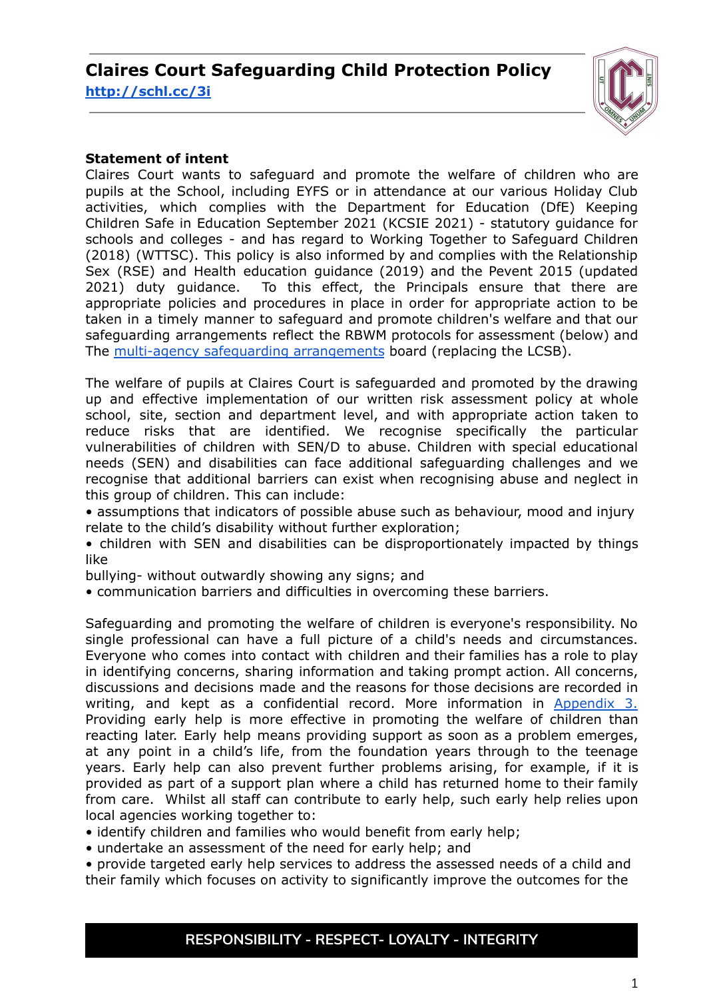# **Claires Court Safeguarding Child Protection Policy <http://schl.cc/3i>**



### **Statement of intent**

Claires Court wants to safeguard and promote the welfare of children who are pupils at the School, including EYFS or in attendance at our various Holiday Club activities, which complies with the Department for Education (DfE) Keeping Children Safe in Education September 2021 (KCSIE 2021) - statutory guidance for schools and colleges - and has regard to Working Together to Safeguard Children (2018) (WTTSC). This policy is also informed by and complies with the Relationship Sex (RSE) and Health education guidance (2019) and the Pevent 2015 (updated 2021) duty guidance. To this effect, the Principals ensure that there are appropriate policies and procedures in place in order for appropriate action to be taken in a timely manner to safeguard and promote children's welfare and that our safeguarding arrangements reflect the RBWM protocols for assessment (below) and The multi-agency safeguarding [arrangements](http://berks.proceduresonline.com/windsor_maidenhead/contents.html) board (replacing the LCSB).

The welfare of pupils at Claires Court is safeguarded and promoted by the drawing up and effective implementation of our written risk assessment policy at whole school, site, section and department level, and with appropriate action taken to reduce risks that are identified. We recognise specifically the particular vulnerabilities of children with SEN/D to abuse. Children with special educational needs (SEN) and disabilities can face additional safeguarding challenges and we recognise that additional barriers can exist when recognising abuse and neglect in this group of children. This can include:

• assumptions that indicators of possible abuse such as behaviour, mood and injury relate to the child's disability without further exploration;

- children with SEN and disabilities can be disproportionately impacted by things like
- bullying- without outwardly showing any signs; and
- communication barriers and difficulties in overcoming these barriers.

Safeguarding and promoting the welfare of children is everyone's responsibility. No single professional can have a full picture of a child's needs and circumstances. Everyone who comes into contact with children and their families has a role to play in identifying concerns, sharing information and taking prompt action. All concerns, discussions and decisions made and the reasons for those decisions are recorded in writing, and kept as a confidential record. More information in [Appendix](#page-32-0) 3. Providing early help is more effective in promoting the welfare of children than reacting later. Early help means providing support as soon as a problem emerges, at any point in a child's life, from the foundation years through to the teenage years. Early help can also prevent further problems arising, for example, if it is provided as part of a support plan where a child has returned home to their family from care. Whilst all staff can contribute to early help, such early help relies upon local agencies working together to:

- identify children and families who would benefit from early help;
- undertake an assessment of the need for early help; and

• provide targeted early help services to address the assessed needs of a child and their family which focuses on activity to significantly improve the outcomes for the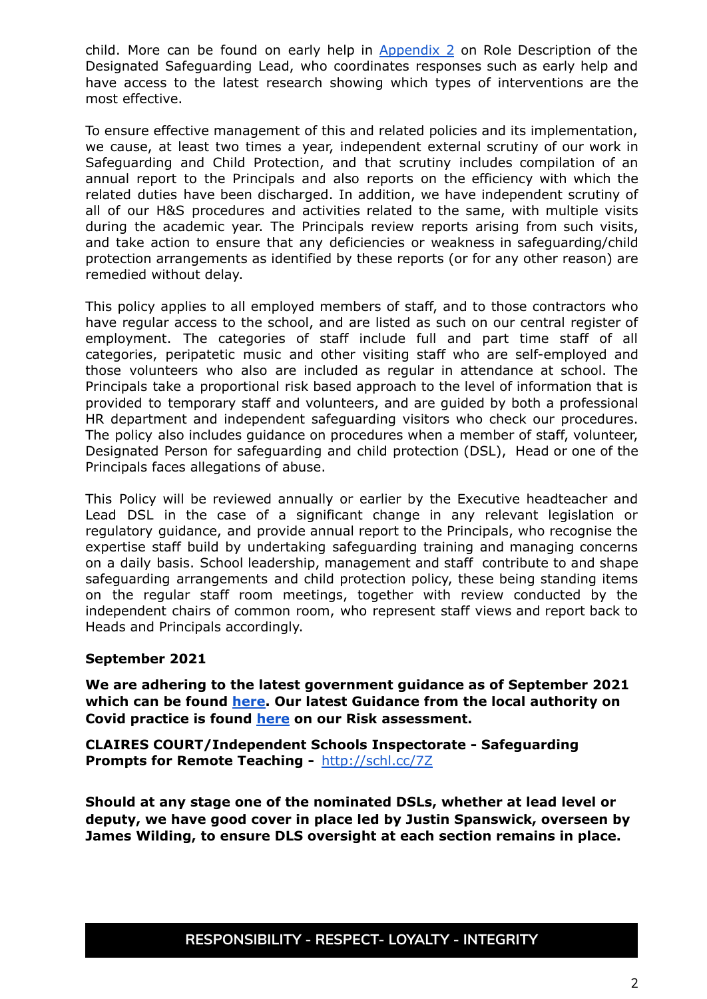child. More can be found on early help in [Appendix](#page-29-0) 2 on Role Description of the Designated Safeguarding Lead, who coordinates responses such as early help and have access to the latest research showing which types of interventions are the most effective.

To ensure effective management of this and related policies and its implementation, we cause, at least two times a year, independent external scrutiny of our work in Safeguarding and Child Protection, and that scrutiny includes compilation of an annual report to the Principals and also reports on the efficiency with which the related duties have been discharged. In addition, we have independent scrutiny of all of our H&S procedures and activities related to the same, with multiple visits during the academic year. The Principals review reports arising from such visits, and take action to ensure that any deficiencies or weakness in safeguarding/child protection arrangements as identified by these reports (or for any other reason) are remedied without delay.

This policy applies to all employed members of staff, and to those contractors who have regular access to the school, and are listed as such on our central register of employment. The categories of staff include full and part time staff of all categories, peripatetic music and other visiting staff who are self-employed and those volunteers who also are included as regular in attendance at school. The Principals take a proportional risk based approach to the level of information that is provided to temporary staff and volunteers, and are guided by both a professional HR department and independent safeguarding visitors who check our procedures. The policy also includes guidance on procedures when a member of staff, volunteer, Designated Person for safeguarding and child protection (DSL), Head or one of the Principals faces allegations of abuse.

This Policy will be reviewed annually or earlier by the Executive headteacher and Lead DSL in the case of a significant change in any relevant legislation or regulatory guidance, and provide annual report to the Principals, who recognise the expertise staff build by undertaking safeguarding training and managing concerns on a daily basis. School leadership, management and staff contribute to and shape safeguarding arrangements and child protection policy, these being standing items on the regular staff room meetings, together with review conducted by the independent chairs of common room, who represent staff views and report back to Heads and Principals accordingly.

#### **September 2021**

**We are adhering to the latest government guidance as of September 2021 which can be found [here.](https://docs.google.com/document/d/1eSXvanFqzSzDogGI5pfHdGrcw1b7eGL3NxCdgDgR9X0/edit) Our latest Guidance from the local authority on Covid practice is found [here](https://docs.google.com/document/d/1Ol_oyXcskt8MoAiQmnAUX1SPOT03A6q3B2dH9N6FwNs/edit) on our Risk assessment.**

**CLAIRES COURT/Independent Schools Inspectorate - Safeguarding Prompts for Remote Teaching -** <http://schl.cc/7Z>

**Should at any stage one of the nominated DSLs, whether at lead level or deputy, we have good cover in place led by Justin Spanswick, overseen by James Wilding, to ensure DLS oversight at each section remains in place.**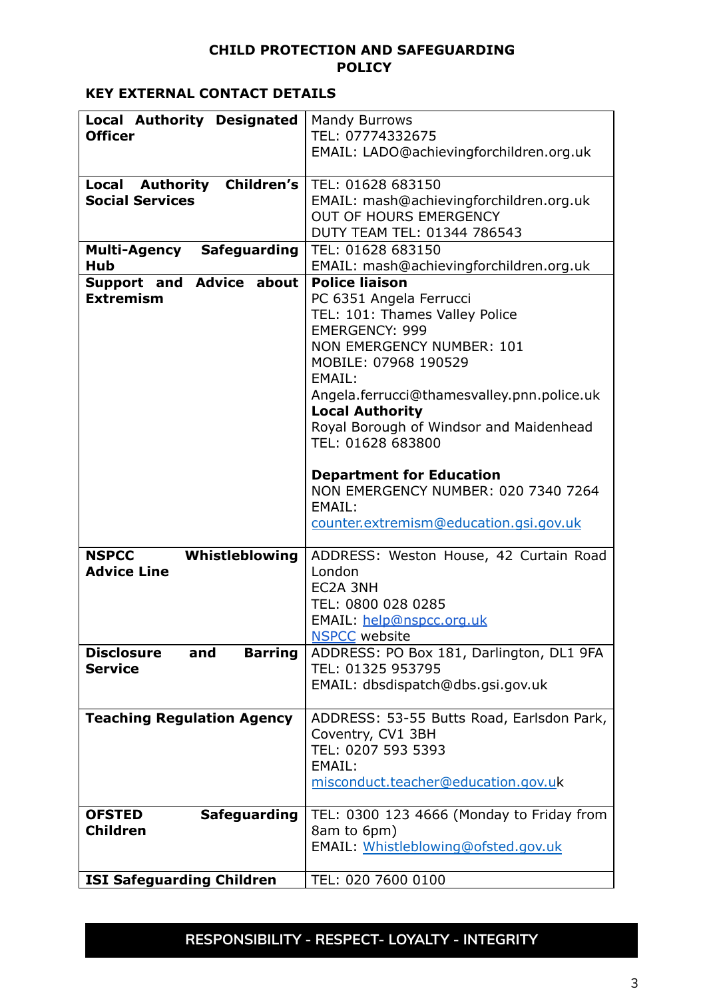#### **CHILD PROTECTION AND SAFEGUARDING POLICY**

### **KEY EXTERNAL CONTACT DETAILS**

| <b>Local Authority Designated</b>          | <b>Mandy Burrows</b>                       |
|--------------------------------------------|--------------------------------------------|
| <b>Officer</b>                             | TEL: 07774332675                           |
|                                            | EMAIL: LADO@achievingforchildren.org.uk    |
|                                            |                                            |
| Local Authority Children's                 | TEL: 01628 683150                          |
| <b>Social Services</b>                     | EMAIL: mash@achievingforchildren.org.uk    |
|                                            | OUT OF HOURS EMERGENCY                     |
|                                            | DUTY TEAM TEL: 01344 786543                |
| Safeguarding<br><b>Multi-Agency</b>        | TEL: 01628 683150                          |
| Hub                                        | EMAIL: mash@achievingforchildren.org.uk    |
| Support and Advice about                   | <b>Police liaison</b>                      |
| <b>Extremism</b>                           | PC 6351 Angela Ferrucci                    |
|                                            | TEL: 101: Thames Valley Police             |
|                                            | <b>EMERGENCY: 999</b>                      |
|                                            | NON EMERGENCY NUMBER: 101                  |
|                                            | MOBILE: 07968 190529                       |
|                                            | EMAIL:                                     |
|                                            | Angela.ferrucci@thamesvalley.pnn.police.uk |
|                                            | <b>Local Authority</b>                     |
|                                            | Royal Borough of Windsor and Maidenhead    |
|                                            | TEL: 01628 683800                          |
|                                            |                                            |
|                                            | <b>Department for Education</b>            |
|                                            | NON EMERGENCY NUMBER: 020 7340 7264        |
|                                            | EMAIL:                                     |
|                                            | counter.extremism@education.gsi.gov.uk     |
|                                            |                                            |
| <b>NSPCC</b><br>Whistleblowing             | ADDRESS: Weston House, 42 Curtain Road     |
| <b>Advice Line</b>                         | London                                     |
|                                            | EC2A 3NH                                   |
|                                            | TEL: 0800 028 0285                         |
|                                            | EMAIL: help@nspcc.org.uk                   |
|                                            | <b>NSPCC</b> website                       |
| <b>Disclosure</b><br><b>Barring</b><br>and | ADDRESS: PO Box 181, Darlington, DL1 9FA   |
| <b>Service</b>                             | TEL: 01325 953795                          |
|                                            | EMAIL: dbsdispatch@dbs.gsi.gov.uk          |
| <b>Teaching Regulation Agency</b>          |                                            |
|                                            | ADDRESS: 53-55 Butts Road, Earlsdon Park,  |
|                                            | Coventry, CV1 3BH                          |
|                                            | TEL: 0207 593 5393<br>EMAIL:               |
|                                            | misconduct.teacher@education.gov.uk        |
|                                            |                                            |
| <b>OFSTED</b><br><b>Safeguarding</b>       | TEL: 0300 123 4666 (Monday to Friday from  |
| <b>Children</b>                            | 8am to 6pm)                                |
|                                            | EMAIL: Whistleblowing@ofsted.gov.uk        |
|                                            |                                            |
| <b>ISI Safeguarding Children</b>           | TEL: 020 7600 0100                         |
|                                            |                                            |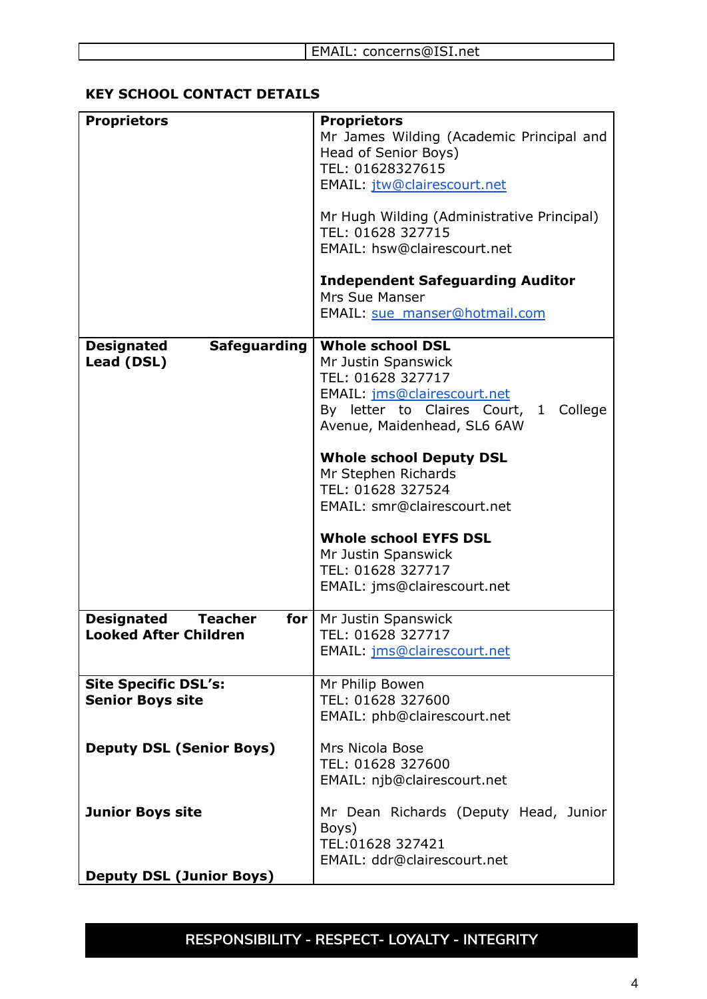## **KEY SCHOOL CONTACT DETAILS**

| <b>Proprietors</b>                             | <b>Proprietors</b>                                                             |
|------------------------------------------------|--------------------------------------------------------------------------------|
|                                                | Mr James Wilding (Academic Principal and                                       |
|                                                | Head of Senior Boys)                                                           |
|                                                | TEL: 01628327615                                                               |
|                                                | EMAIL: jtw@clairescourt.net                                                    |
|                                                | Mr Hugh Wilding (Administrative Principal)                                     |
|                                                | TEL: 01628 327715                                                              |
|                                                | EMAIL: hsw@clairescourt.net                                                    |
|                                                | <b>Independent Safeguarding Auditor</b>                                        |
|                                                | Mrs Sue Manser                                                                 |
|                                                | EMAIL: sue_manser@hotmail.com                                                  |
| <b>Safeguarding</b><br><b>Designated</b>       | <b>Whole school DSL</b>                                                        |
| Lead (DSL)                                     | Mr Justin Spanswick                                                            |
|                                                | TEL: 01628 327717                                                              |
|                                                | <b>EMAIL: jms@clairescourt.net</b><br>By letter to Claires Court, 1<br>College |
|                                                | Avenue, Maidenhead, SL6 6AW                                                    |
|                                                |                                                                                |
|                                                | <b>Whole school Deputy DSL</b>                                                 |
|                                                | Mr Stephen Richards<br>TEL: 01628 327524                                       |
|                                                | EMAIL: smr@clairescourt.net                                                    |
|                                                |                                                                                |
|                                                | <b>Whole school EYFS DSL</b>                                                   |
|                                                | Mr Justin Spanswick<br>TEL: 01628 327717                                       |
|                                                | EMAIL: jms@clairescourt.net                                                    |
|                                                |                                                                                |
| <b>Designated</b><br><b>Teacher</b><br>for $ $ | Mr Justin Spanswick                                                            |
| <b>Looked After Children</b>                   | TEL: 01628 327717                                                              |
|                                                | EMAIL: jms@clairescourt.net                                                    |
| <b>Site Specific DSL's:</b>                    | Mr Philip Bowen                                                                |
| <b>Senior Boys site</b>                        | TEL: 01628 327600                                                              |
|                                                | EMAIL: phb@clairescourt.net                                                    |
| <b>Deputy DSL (Senior Boys)</b>                | Mrs Nicola Bose                                                                |
|                                                | TEL: 01628 327600                                                              |
|                                                | EMAIL: njb@clairescourt.net                                                    |
|                                                |                                                                                |
| <b>Junior Boys site</b>                        | Mr Dean Richards (Deputy Head, Junior<br>Boys)                                 |
|                                                | TEL:01628 327421                                                               |
|                                                | EMAIL: ddr@clairescourt.net                                                    |
| <b>Deputy DSL (Junior Boys)</b>                |                                                                                |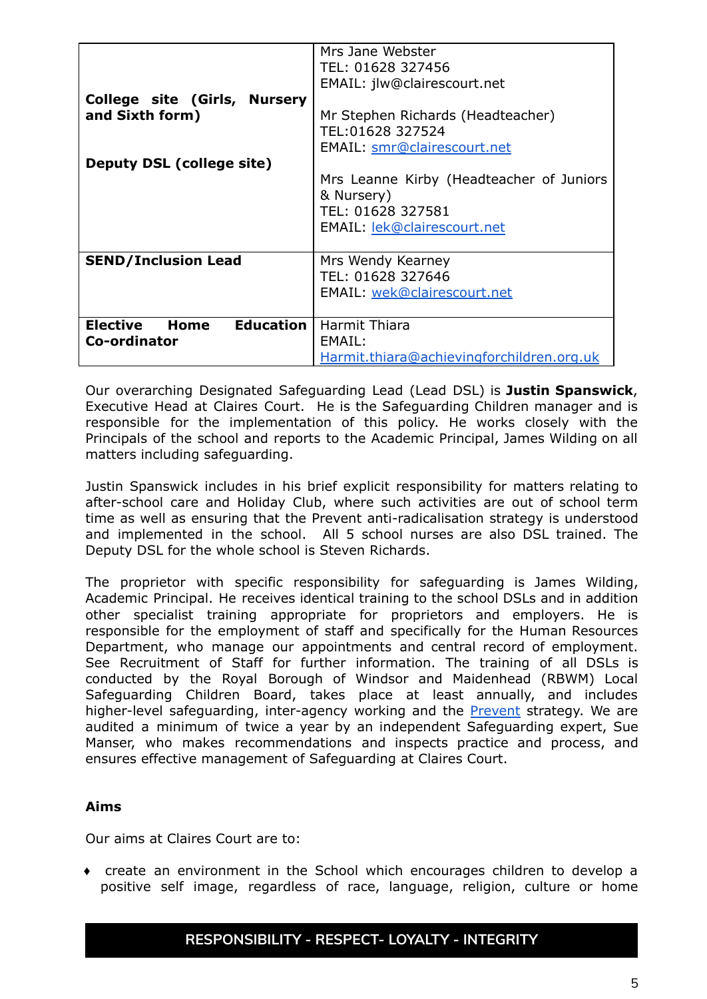|                                             | Mrs Jane Webster                          |
|---------------------------------------------|-------------------------------------------|
|                                             | TEL: 01628 327456                         |
|                                             | EMAIL: jlw@clairescourt.net               |
| College site (Girls, Nursery                |                                           |
| and Sixth form)                             | Mr Stephen Richards (Headteacher)         |
|                                             | TEL:01628 327524                          |
|                                             | EMAIL: smr@clairescourt.net               |
| <b>Deputy DSL (college site)</b>            |                                           |
|                                             | Mrs Leanne Kirby (Headteacher of Juniors  |
|                                             | & Nursery)                                |
|                                             | TEL: 01628 327581                         |
|                                             | <b>EMAIL: lek@clairescourt.net</b>        |
|                                             |                                           |
| <b>SEND/Inclusion Lead</b>                  | Mrs Wendy Kearney                         |
|                                             | TEL: 01628 327646                         |
|                                             | <b>EMAIL: wek@clairescourt.net</b>        |
|                                             |                                           |
| <b>Education</b><br><b>Elective</b><br>Home | Harmit Thiara                             |
| Co-ordinator                                | EMAIL:                                    |
|                                             | Harmit.thiara@achievingforchildren.org.uk |

Our overarching Designated Safeguarding Lead (Lead DSL) is **Justin Spanswick**, Executive Head at Claires Court. He is the Safeguarding Children manager and is responsible for the implementation of this policy. He works closely with the Principals of the school and reports to the Academic Principal, James Wilding on all matters including safeguarding.

Justin Spanswick includes in his brief explicit responsibility for matters relating to after-school care and Holiday Club, where such activities are out of school term time as well as ensuring that the Prevent anti-radicalisation strategy is understood and implemented in the school. All 5 school nurses are also DSL trained. The Deputy DSL for the whole school is Steven Richards.

The proprietor with specific responsibility for safeguarding is James Wilding, Academic Principal. He receives identical training to the school DSLs and in addition other specialist training appropriate for proprietors and employers. He is responsible for the employment of staff and specifically for the Human Resources Department, who manage our appointments and central record of employment. See Recruitment of Staff for further information. The training of all DSLs is conducted by the Royal Borough of Windsor and Maidenhead (RBWM) Local Safeguarding Children Board, takes place at least annually, and includes higher-level safeguarding, inter-agency working and the [Prevent](https://www.gov.uk/government/publications/prevent-duty-guidance) strategy. We are audited a minimum of twice a year by an independent Safeguarding expert, Sue Manser, who makes recommendations and inspects practice and process, and ensures effective management of Safeguarding at Claires Court.

### **Aims**

Our aims at Claires Court are to:

♦ create an environment in the School which encourages children to develop a positive self image, regardless of race, language, religion, culture or home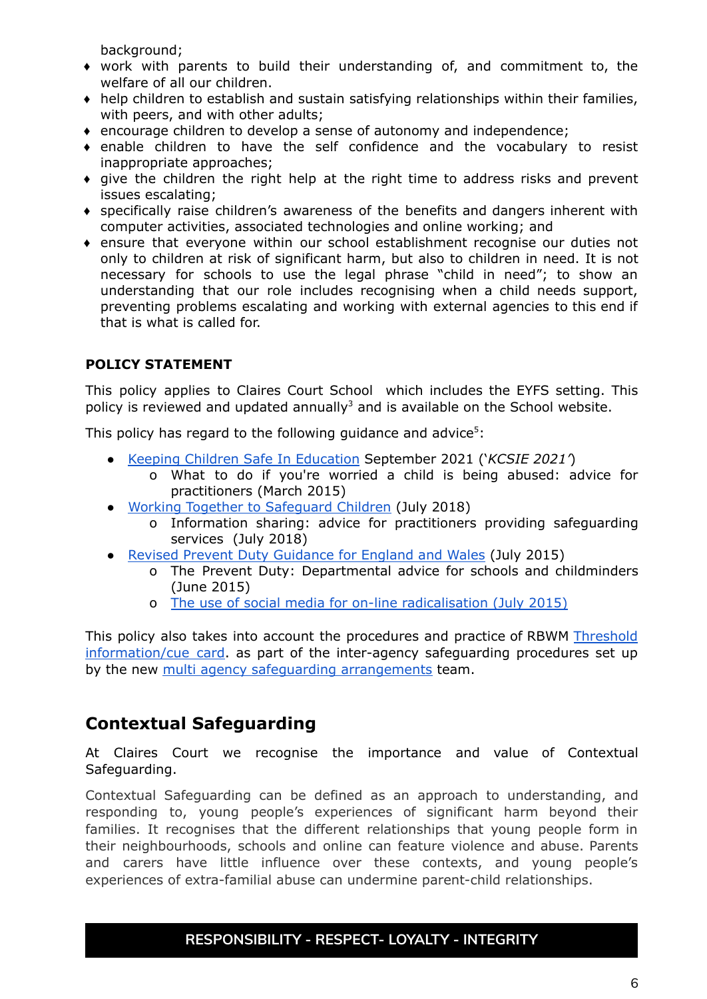background;

- ♦ work with parents to build their understanding of, and commitment to, the welfare of all our children.
- ♦ help children to establish and sustain satisfying relationships within their families, with peers, and with other adults;
- ♦ encourage children to develop a sense of autonomy and independence;
- ♦ enable children to have the self confidence and the vocabulary to resist inappropriate approaches;
- ♦ give the children the right help at the right time to address risks and prevent issues escalating;
- ♦ specifically raise children's awareness of the benefits and dangers inherent with computer activities, associated technologies and online working; and
- ♦ ensure that everyone within our school establishment recognise our duties not only to children at risk of significant harm, but also to children in need. It is not necessary for schools to use the legal phrase "child in need"; to show an understanding that our role includes recognising when a child needs support, preventing problems escalating and working with external agencies to this end if that is what is called for.

## **POLICY STATEMENT**

This policy applies to Claires Court School which includes the EYFS setting. This policy is reviewed and updated annually<sup>3</sup> and is available on the School website.

This policy has regard to the following guidance and advice<sup>5</sup>:

- Keeping Children Safe In [Education](https://assets.publishing.service.gov.uk/government/uploads/system/uploads/attachment_data/file/1014057/KCSIE_2021_September.pdf) September 2021 ('*KCSIE 2021'*)
	- o What to do if you're worried a child is being abused: advice for practitioners (March 2015)
- Working Together to [Safeguard](https://www.gov.uk/government/publications/working-together-to-safeguard-children--2) Children (July 2018)
	- o Information sharing: advice for practitioners providing safeguarding services (July 2018)
- Revised Prevent Duty [Guidance](https://www.gov.uk/government/publications/prevent-duty-guidance) for England and Wales (July 2015)
	- o The Prevent Duty: Departmental advice for schools and childminders (June 2015)
	- o The use of social media for on-line [radicalisation](https://www.gov.uk/government/publications/the-use-of-social-media-for-online-radicalisation) (July 2015)

This policy also takes into account the procedures and practice of RBWM [Threshold](http://www.wamlscb.org/about-the-lscb/documents/) [information/cue](http://www.wamlscb.org/about-the-lscb/documents/) card. as part of the inter-agency safeguarding procedures set up by the new multi agency safeguarding [arrangements](http://berks.proceduresonline.com/windsor_maidenhead/contents.html) team.

# **Contextual Safeguarding**

At Claires Court we recognise the importance and value of Contextual Safeguarding.

Contextual Safeguarding can be defined as an approach to understanding, and responding to, young people's experiences of significant harm beyond their families. It recognises that the different relationships that young people form in their neighbourhoods, schools and online can feature violence and abuse. Parents and carers have little influence over these contexts, and young people's experiences of extra-familial abuse can undermine parent-child relationships.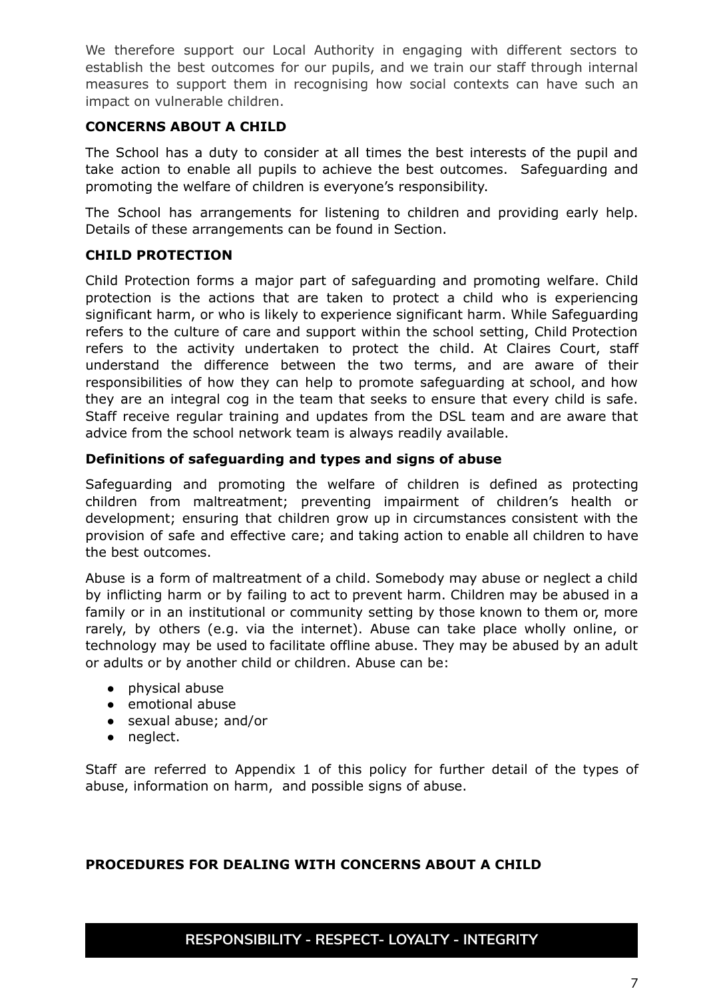We therefore support our Local Authority in engaging with different sectors to establish the best outcomes for our pupils, and we train our staff through internal measures to support them in recognising how social contexts can have such an impact on vulnerable children.

#### **CONCERNS ABOUT A CHILD**

The School has a duty to consider at all times the best interests of the pupil and take action to enable all pupils to achieve the best outcomes. Safeguarding and promoting the welfare of children is everyone's responsibility.

The School has arrangements for listening to children and providing early help. Details of these arrangements can be found in Section.

### **CHILD PROTECTION**

Child Protection forms a major part of safeguarding and promoting welfare. Child protection is the actions that are taken to protect a child who is experiencing significant harm, or who is likely to experience significant harm. While Safeguarding refers to the culture of care and support within the school setting, Child Protection refers to the activity undertaken to protect the child. At Claires Court, staff understand the difference between the two terms, and are aware of their responsibilities of how they can help to promote safeguarding at school, and how they are an integral cog in the team that seeks to ensure that every child is safe. Staff receive regular training and updates from the DSL team and are aware that advice from the school network team is always readily available.

#### **Definitions of safeguarding and types and signs of abuse**

Safeguarding and promoting the welfare of children is defined as protecting children from maltreatment; preventing impairment of children's health or development; ensuring that children grow up in circumstances consistent with the provision of safe and effective care; and taking action to enable all children to have the best outcomes.

Abuse is a form of maltreatment of a child. Somebody may abuse or neglect a child by inflicting harm or by failing to act to prevent harm. Children may be abused in a family or in an institutional or community setting by those known to them or, more rarely, by others (e.g. via the internet). Abuse can take place wholly online, or technology may be used to facilitate offline abuse. They may be abused by an adult or adults or by another child or children. Abuse can be:

- physical abuse
- emotional abuse
- sexual abuse; and/or
- neglect.

Staff are referred to Appendix 1 of this policy for further detail of the types of abuse, information on harm, and possible signs of abuse.

#### **PROCEDURES FOR DEALING WITH CONCERNS ABOUT A CHILD**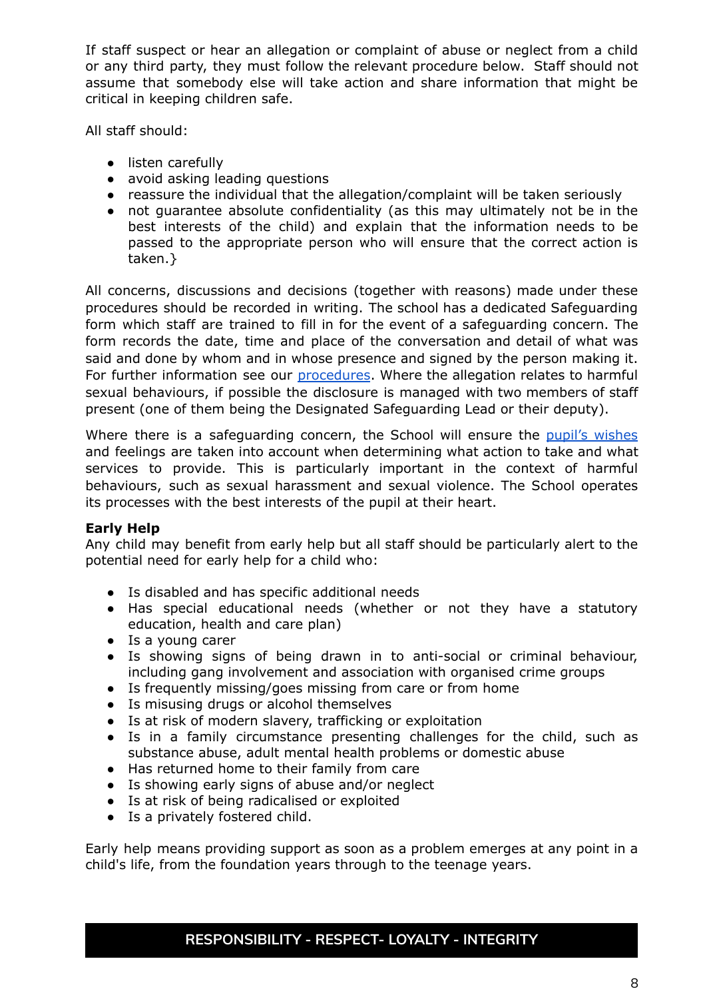If staff suspect or hear an allegation or complaint of abuse or neglect from a child or any third party, they must follow the relevant procedure below. Staff should not assume that somebody else will take action and share information that might be critical in keeping children safe.

All staff should:

- listen carefully
- avoid asking leading questions
- reassure the individual that the allegation/complaint will be taken seriously
- not guarantee absolute confidentiality (as this may ultimately not be in the best interests of the child) and explain that the information needs to be passed to the appropriate person who will ensure that the correct action is taken.}

<span id="page-7-0"></span>All concerns, discussions and decisions (together with reasons) made under these procedures should be recorded in writing. The school has a dedicated Safeguarding form which staff are trained to fill in for the event of a safeguarding concern. The form records the date, time and place of the conversation and detail of what was said and done by whom and in whose presence and signed by the person making it. For further information see our [procedures](#page-32-0). Where the allegation relates to harmful sexual behaviours, if possible the disclosure is managed with two members of staff present (one of them being the Designated Safeguarding Lead or their deputy).

Where there is a safeguarding concern, the School will ensure the pupil's [wishes](#page-33-0) and feelings are taken into account when determining what action to take and what services to provide. This is particularly important in the context of harmful behaviours, such as sexual harassment and sexual violence. The School operates its processes with the best interests of the pupil at their heart.

### **Early Help**

Any child may benefit from early help but all staff should be particularly alert to the potential need for early help for a child who:

- Is disabled and has specific additional needs
- Has special educational needs (whether or not they have a statutory education, health and care plan)
- Is a young carer
- Is showing signs of being drawn in to anti-social or criminal behaviour, including gang involvement and association with organised crime groups
- Is frequently missing/goes missing from care or from home
- Is misusing drugs or alcohol themselves
- Is at risk of modern slavery, trafficking or exploitation
- Is in a family circumstance presenting challenges for the child, such as substance abuse, adult mental health problems or domestic abuse
- Has returned home to their family from care
- Is showing early signs of abuse and/or neglect
- Is at risk of being radicalised or exploited
- Is a privately fostered child.

Early help means providing support as soon as a problem emerges at any point in a child's life, from the foundation years through to the teenage years.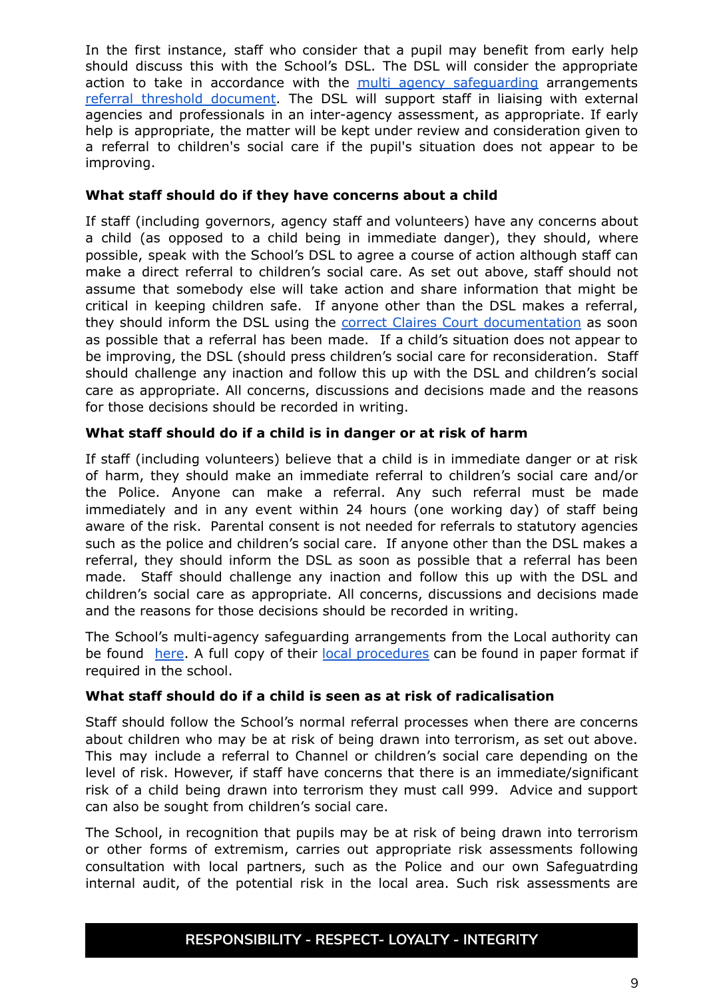In the first instance, staff who consider that a pupil may benefit from early help should discuss this with the School's DSL. The DSL will consider the appropriate action to take in accordance with the multi agency [safeguarding](http://berks.proceduresonline.com/windsor_maidenhead/contents.html) arrangements referral threshold [document.](http://www.wamlscb.org/about-the-lscb/documents/) The DSL will support staff in liaising with external agencies and professionals in an inter-agency assessment, as appropriate. If early help is appropriate, the matter will be kept under review and consideration given to a referral to children's social care if the pupil's situation does not appear to be improving.

### **What staff should do if they have concerns about a child**

If staff (including governors, agency staff and volunteers) have any concerns about a child (as opposed to a child being in immediate danger), they should, where possible, speak with the School's DSL to agree a course of action although staff can make a direct referral to children's social care. As set out above, staff should not assume that somebody else will take action and share information that might be critical in keeping children safe. If anyone other than the DSL makes a referral, they should inform the DSL using the correct Claires Court [documentation](https://docs.google.com/document/d/1wBPrknk5QpmkjpG-HVe5tBX3qjV90-DVbuArUZSQQak/edit#) as soon as possible that a referral has been made. If a child's situation does not appear to be improving, the DSL (should press children's social care for reconsideration. Staff should challenge any inaction and follow this up with the DSL and children's social care as appropriate. All concerns, discussions and decisions made and the reasons for those decisions should be recorded in writing.

### **What staff should do if a child is in danger or at risk of harm**

If staff (including volunteers) believe that a child is in immediate danger or at risk of harm, they should make an immediate referral to children's social care and/or the Police. Anyone can make a referral. Any such referral must be made immediately and in any event within 24 hours (one working day) of staff being aware of the risk. Parental consent is not needed for referrals to statutory agencies such as the police and children's social care. If anyone other than the DSL makes a referral, they should inform the DSL as soon as possible that a referral has been made. Staff should challenge any inaction and follow this up with the DSL and children's social care as appropriate. All concerns, discussions and decisions made and the reasons for those decisions should be recorded in writing.

The School's multi-agency safeguarding arrangements from the Local authority can be found [here](http://www.wamlscb.org/about-the-lscb/documents/). A full copy of their local [procedures](http://berks.proceduresonline.com/windsor_maidenhead/contents.html) can be found in paper format if required in the school.

### **What staff should do if a child is seen as at risk of radicalisation**

Staff should follow the School's normal referral processes when there are concerns about children who may be at risk of being drawn into terrorism, as set out above. This may include a referral to Channel or children's social care depending on the level of risk. However, if staff have concerns that there is an immediate/significant risk of a child being drawn into terrorism they must call 999. Advice and support can also be sought from children's social care.

The School, in recognition that pupils may be at risk of being drawn into terrorism or other forms of extremism, carries out appropriate risk assessments following consultation with local partners, such as the Police and our own Safeguatrding internal audit, of the potential risk in the local area. Such risk assessments are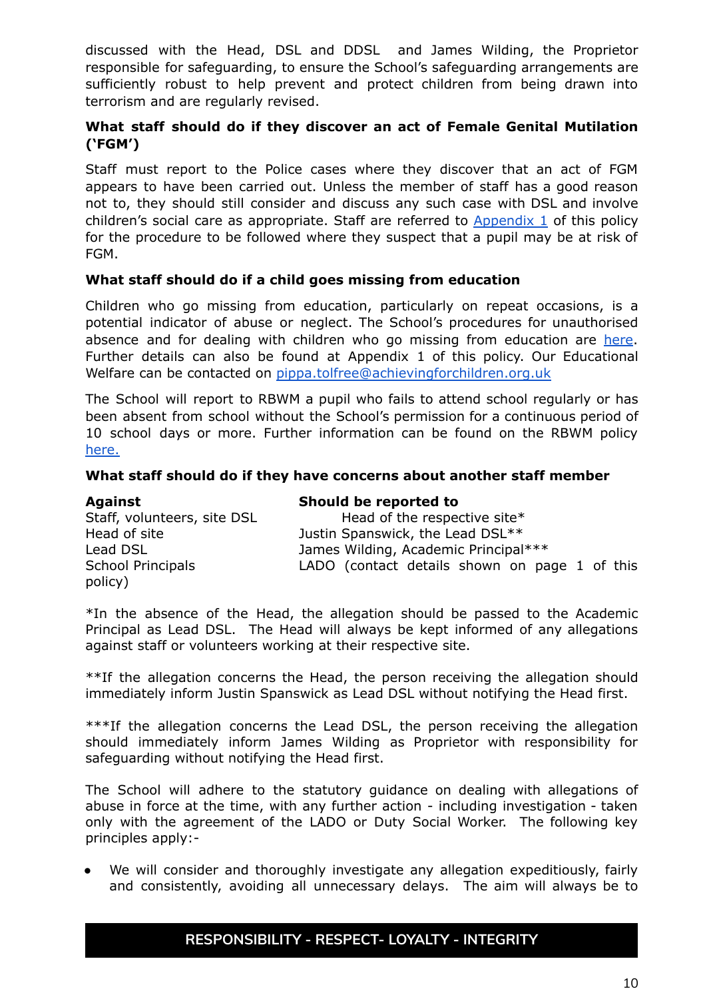discussed with the Head, DSL and DDSL and James Wilding, the Proprietor responsible for safeguarding, to ensure the School's safeguarding arrangements are sufficiently robust to help prevent and protect children from being drawn into terrorism and are regularly revised.

### **What staff should do if they discover an act of Female Genital Mutilation ('FGM')**

Staff must report to the Police cases where they discover that an act of FGM appears to have been carried out. Unless the member of staff has a good reason not to, they should still consider and discuss any such case with DSL and involve children's social care as appropriate. Staff are referred to [Appendix](#page-23-0) 1 of this policy for the procedure to be followed where they suspect that a pupil may be at risk of FGM.

### **What staff should do if a child goes missing from education**

Children who go missing from education, particularly on repeat occasions, is a potential indicator of abuse or neglect. The School's procedures for unauthorised absence and for dealing with children who go missing from education are [here.](https://docs.google.com/document/d/1b2jBNJ6r5X809FnspvC0HEpRzNP8ucvrHkWSVKM7B6w/edit) Further details can also be found at Appendix 1 of this policy. Our Educational Welfare can be contacted on [pippa.tolfree@achievingforchildren.org.uk](mailto:ppiia.tolfree@achievingforchildren.org.uk)

The School will report to RBWM a pupil who fails to attend school regularly or has been absent from school without the School's permission for a continuous period of 10 school days or more. Further information can be found on the RBWM policy [here.](https://mail.google.com/mail/u/0/?tab=rm&ogbl#search/jackie.grose%40achievingforchildren.org.uk/FMfcgzGljlhhlhlWJNKQbMJgsnQmVnvh?projector=1&messagePartId=0.3)

#### **What staff should do if they have concerns about another staff member**

| <b>Against</b>                      | Should be reported to                         |
|-------------------------------------|-----------------------------------------------|
| Staff, volunteers, site DSL         | Head of the respective site*                  |
| Head of site                        | Justin Spanswick, the Lead DSL**              |
| Lead DSL                            | James Wilding, Academic Principal***          |
| <b>School Principals</b><br>policy) | LADO (contact details shown on page 1 of this |

\*In the absence of the Head, the allegation should be passed to the Academic Principal as Lead DSL. The Head will always be kept informed of any allegations against staff or volunteers working at their respective site.

\*\*If the allegation concerns the Head, the person receiving the allegation should immediately inform Justin Spanswick as Lead DSL without notifying the Head first.

\*\*\*If the allegation concerns the Lead DSL, the person receiving the allegation should immediately inform James Wilding as Proprietor with responsibility for safeguarding without notifying the Head first.

The School will adhere to the statutory guidance on dealing with allegations of abuse in force at the time, with any further action - including investigation - taken only with the agreement of the LADO or Duty Social Worker. The following key principles apply:-

We will consider and thoroughly investigate any allegation expeditiously, fairly and consistently, avoiding all unnecessary delays. The aim will always be to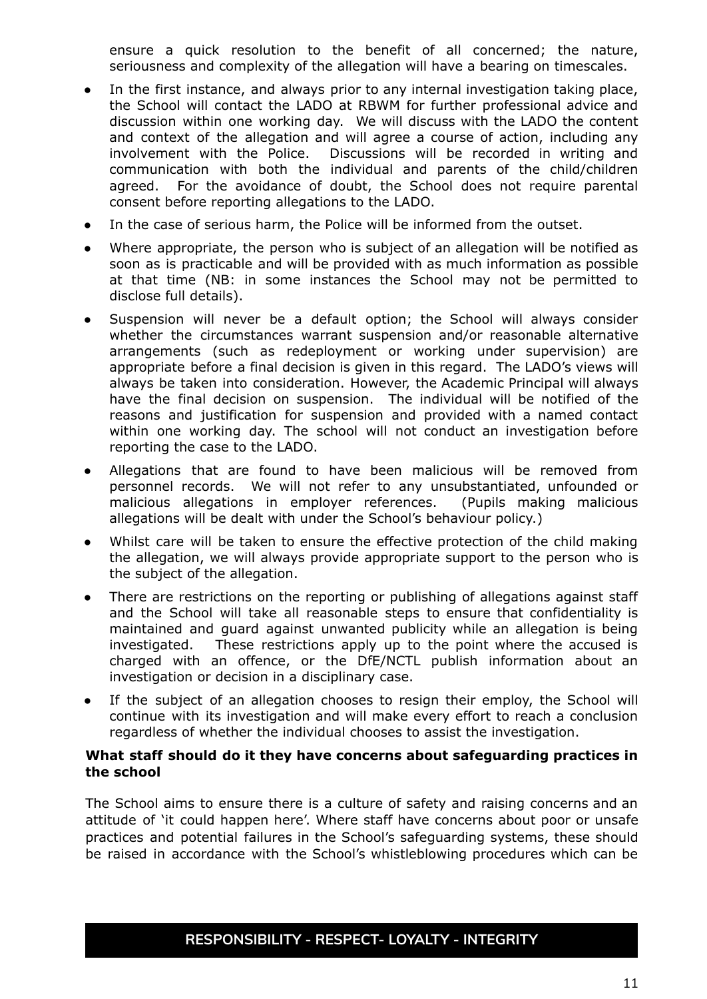ensure a quick resolution to the benefit of all concerned; the nature, seriousness and complexity of the allegation will have a bearing on timescales.

- In the first instance, and always prior to any internal investigation taking place, the School will contact the LADO at RBWM for further professional advice and discussion within one working day. We will discuss with the LADO the content and context of the allegation and will agree a course of action, including any involvement with the Police. Discussions will be recorded in writing and communication with both the individual and parents of the child/children agreed. For the avoidance of doubt, the School does not require parental consent before reporting allegations to the LADO.
- In the case of serious harm, the Police will be informed from the outset.
- Where appropriate, the person who is subject of an allegation will be notified as soon as is practicable and will be provided with as much information as possible at that time (NB: in some instances the School may not be permitted to disclose full details).
- Suspension will never be a default option; the School will always consider whether the circumstances warrant suspension and/or reasonable alternative arrangements (such as redeployment or working under supervision) are appropriate before a final decision is given in this regard. The LADO's views will always be taken into consideration. However, the Academic Principal will always have the final decision on suspension. The individual will be notified of the reasons and justification for suspension and provided with a named contact within one working day. The school will not conduct an investigation before reporting the case to the LADO.
- Allegations that are found to have been malicious will be removed from personnel records. We will not refer to any unsubstantiated, unfounded or malicious allegations in employer references. (Pupils making malicious allegations will be dealt with under the School's behaviour policy.)
- Whilst care will be taken to ensure the effective protection of the child making the allegation, we will always provide appropriate support to the person who is the subject of the allegation.
- There are restrictions on the reporting or publishing of allegations against staff and the School will take all reasonable steps to ensure that confidentiality is maintained and guard against unwanted publicity while an allegation is being investigated. These restrictions apply up to the point where the accused is charged with an offence, or the DfE/NCTL publish information about an investigation or decision in a disciplinary case.
- If the subject of an allegation chooses to resign their employ, the School will continue with its investigation and will make every effort to reach a conclusion regardless of whether the individual chooses to assist the investigation.

### **What staff should do it they have concerns about safeguarding practices in the school**

The School aims to ensure there is a culture of safety and raising concerns and an attitude of 'it could happen here'. Where staff have concerns about poor or unsafe practices and potential failures in the School's safeguarding systems, these should be raised in accordance with the School's whistleblowing procedures which can be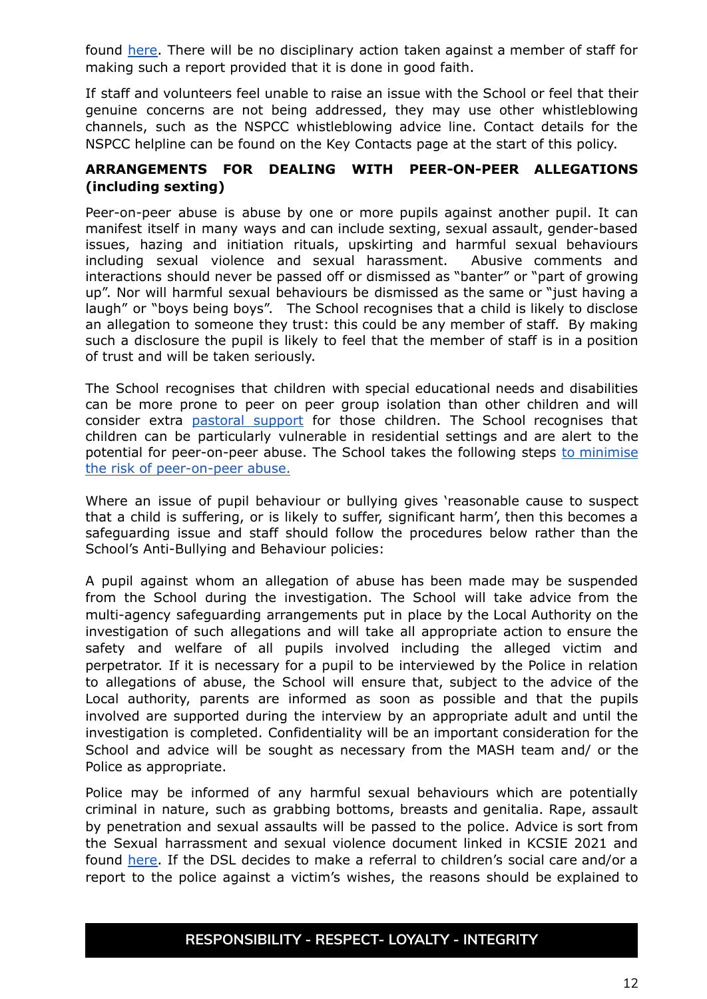found [here.](#page-41-0) There will be no disciplinary action taken against a member of staff for making such a report provided that it is done in good faith.

If staff and volunteers feel unable to raise an issue with the School or feel that their genuine concerns are not being addressed, they may use other whistleblowing channels, such as the NSPCC whistleblowing advice line. Contact details for the NSPCC helpline can be found on the Key Contacts page at the start of this policy.

### **ARRANGEMENTS FOR DEALING WITH PEER-ON-PEER ALLEGATIONS (including sexting)**

Peer-on-peer abuse is abuse by one or more pupils against another pupil. It can manifest itself in many ways and can include sexting, sexual assault, gender-based issues, hazing and initiation rituals, upskirting and harmful sexual behaviours including sexual violence and sexual harassment. Abusive comments and interactions should never be passed off or dismissed as "banter" or "part of growing up". Nor will harmful sexual behaviours be dismissed as the same or "just having a laugh" or "boys being boys". The School recognises that a child is likely to disclose an allegation to someone they trust: this could be any member of staff. By making such a disclosure the pupil is likely to feel that the member of staff is in a position of trust and will be taken seriously.

The School recognises that children with special educational needs and disabilities can be more prone to peer on peer group isolation than other children and will consider extra [pastoral](https://docs.google.com/document/d/1-JMfGNJGGanl7o90JptS1Bl2EGOWQr9kSicBJTgznvM/edit?ts=5d6be0b7) support for those children. The School recognises that children can be particularly vulnerable in residential settings and are alert to the potential for peer-on-peer abuse. The School takes the following steps to [minimise](https://goo.gl/9jZqMV) the risk of [peer-on-peer](https://goo.gl/9jZqMV) abuse.

Where an issue of pupil behaviour or bullying gives 'reasonable cause to suspect that a child is suffering, or is likely to suffer, significant harm', then this becomes a safeguarding issue and staff should follow the procedures below rather than the School's Anti-Bullying and Behaviour policies:

A pupil against whom an allegation of abuse has been made may be suspended from the School during the investigation. The School will take advice from the multi-agency safeguarding arrangements put in place by the Local Authority on the investigation of such allegations and will take all appropriate action to ensure the safety and welfare of all pupils involved including the alleged victim and perpetrator. If it is necessary for a pupil to be interviewed by the Police in relation to allegations of abuse, the School will ensure that, subject to the advice of the Local authority, parents are informed as soon as possible and that the pupils involved are supported during the interview by an appropriate adult and until the investigation is completed. Confidentiality will be an important consideration for the School and advice will be sought as necessary from the MASH team and/ or the Police as appropriate.

Police may be informed of any harmful sexual behaviours which are potentially criminal in nature, such as grabbing bottoms, breasts and genitalia. Rape, assault by penetration and sexual assaults will be passed to the police. Advice is sort from the Sexual harrassment and sexual violence document linked in KCSIE 2021 and found [here.](https://www.gov.uk/government/publications/sexual-violence-and-sexual-harassment-between-children-in-schools-and-colleges) If the DSL decides to make a referral to children's social care and/or a report to the police against a victim's wishes, the reasons should be explained to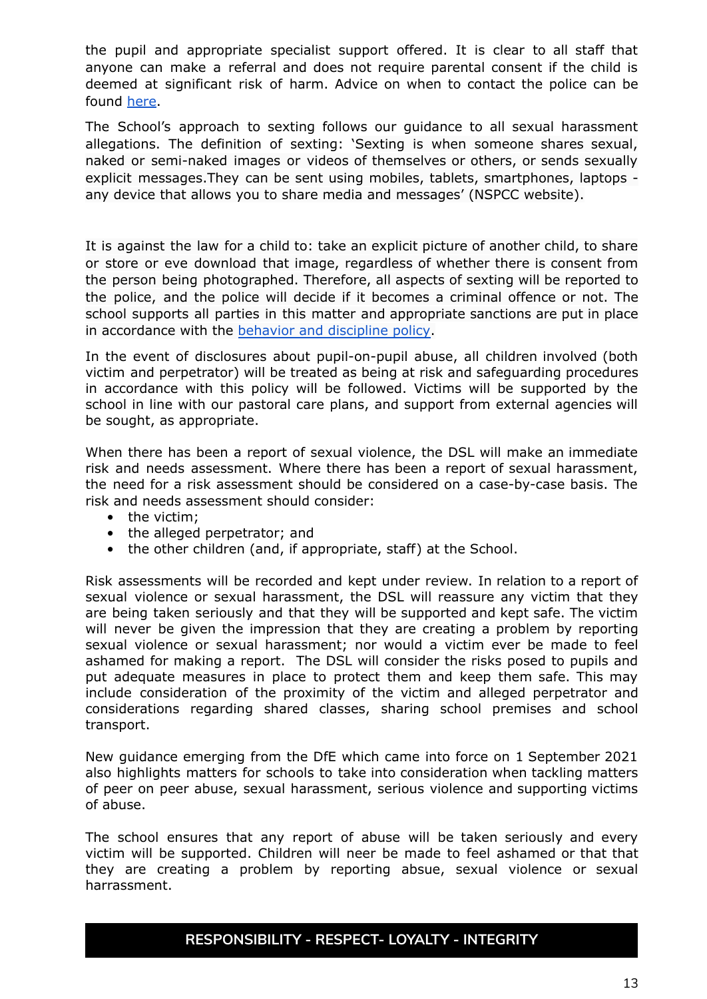the pupil and appropriate specialist support offered. It is clear to all staff that anyone can make a referral and does not require parental consent if the child is deemed at significant risk of harm. Advice on when to contact the police can be found [here.](https://mail.google.com/mail/u/0/?tab=rm&ogbl#search/vicky+ruddick?projector=1)

The School's approach to sexting follows our guidance to all sexual harassment allegations. The definition of sexting: 'Sexting is when someone shares sexual, naked or semi-naked images or videos of themselves or others, or sends sexually explicit messages.They can be sent using mobiles, tablets, smartphones, laptops any device that allows you to share media and messages' (NSPCC website).

It is against the law for a child to: take an explicit picture of another child, to share or store or eve download that image, regardless of whether there is consent from the person being photographed. Therefore, all aspects of sexting will be reported to the police, and the police will decide if it becomes a criminal offence or not. The school supports all parties in this matter and appropriate sanctions are put in place in accordance with the behavior and [discipline](http://goo.gl/NOM54S) policy.

In the event of disclosures about pupil-on-pupil abuse, all children involved (both victim and perpetrator) will be treated as being at risk and safeguarding procedures in accordance with this policy will be followed. Victims will be supported by the school in line with our pastoral care plans, and support from external agencies will be sought, as appropriate.

When there has been a report of sexual violence, the DSL will make an immediate risk and needs assessment. Where there has been a report of sexual harassment, the need for a risk assessment should be considered on a case-by-case basis. The risk and needs assessment should consider:

- the victim:
- the alleged perpetrator; and
- the other children (and, if appropriate, staff) at the School.

Risk assessments will be recorded and kept under review. In relation to a report of sexual violence or sexual harassment, the DSL will reassure any victim that they are being taken seriously and that they will be supported and kept safe. The victim will never be given the impression that they are creating a problem by reporting sexual violence or sexual harassment; nor would a victim ever be made to feel ashamed for making a report. The DSL will consider the risks posed to pupils and put adequate measures in place to protect them and keep them safe. This may include consideration of the proximity of the victim and alleged perpetrator and considerations regarding shared classes, sharing school premises and school transport.

New guidance emerging from the DfE which came into force on 1 September 2021 also highlights matters for schools to take into consideration when tackling matters of peer on peer abuse, sexual harassment, serious violence and supporting victims of abuse.

The school ensures that any report of abuse will be taken seriously and every victim will be supported. Children will neer be made to feel ashamed or that that they are creating a problem by reporting absue, sexual violence or sexual harrassment.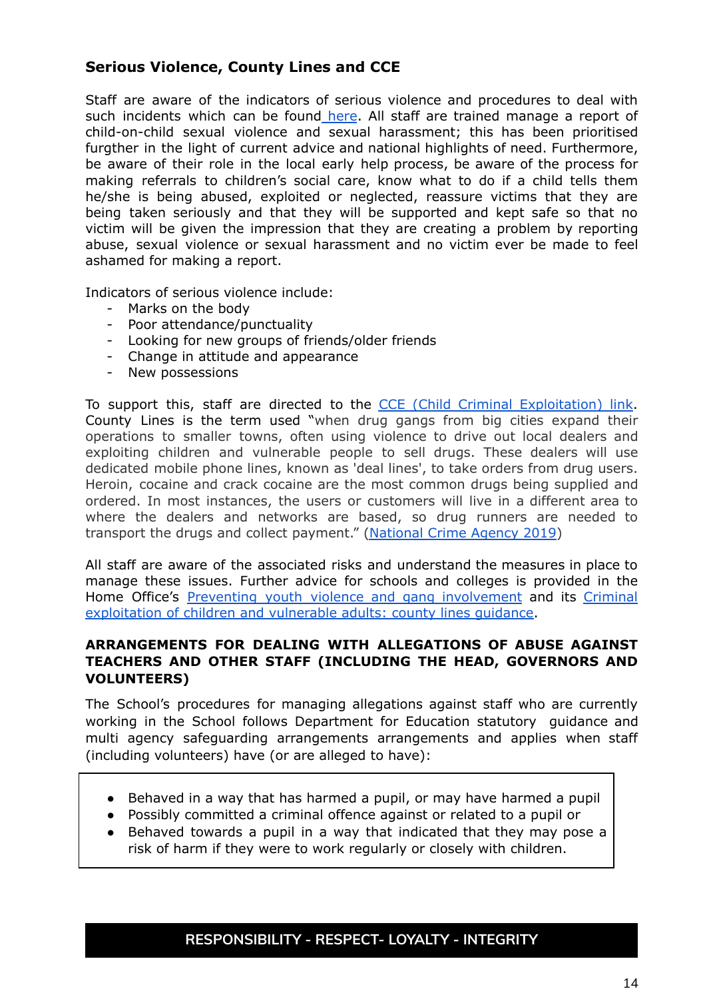## **Serious Violence, County Lines and CCE**

Staff are aware of the indicators of serious violence and procedures to deal with such incidents which can be found [here](#page-7-0). All staff are trained manage a report of child-on-child sexual violence and sexual harassment; this has been prioritised furgther in the light of current advice and national highlights of need. Furthermore, be aware of their role in the local early help process, be aware of the process for making referrals to children's social care, know what to do if a child tells them he/she is being abused, exploited or neglected, reassure victims that they are being taken seriously and that they will be supported and kept safe so that no victim will be given the impression that they are creating a problem by reporting abuse, sexual violence or sexual harassment and no victim ever be made to feel ashamed for making a report.

Indicators of serious violence include:

- Marks on the body
- Poor attendance/punctuality
- Looking for new groups of friends/older friends
- Change in attitude and appearance
- New possessions

To support this, staff are directed to the CCE (Child Criminal [Exploitation\)](https://safeguarding.network/safeguarding-resources/child-criminal-exploitation/) link. County Lines is the term used "when drug gangs from big cities expand their operations to smaller towns, often using violence to drive out local dealers and exploiting children and vulnerable people to sell drugs. These dealers will use dedicated mobile phone lines, known as 'deal lines', to take orders from drug users. Heroin, cocaine and crack cocaine are the most common drugs being supplied and ordered. In most instances, the users or customers will live in a different area to where the dealers and networks are based, so drug runners are needed to transport the drugs and collect payment." [\(National](https://www.nationalcrimeagency.gov.uk/what-we-do/crime-threats/drug-trafficking/county-lines) Crime Agency 2019)

All staff are aware of the associated risks and understand the measures in place to manage these issues. Further advice for schools and colleges is provided in the Home Office's Preventing youth violence and gang [involvement](https://www.gov.uk/government/publications/advice-to-schools-and-colleges-on-gangs-and-youth-violence) and its [Criminal](https://www.gov.uk/government/publications/criminal-exploitation-of-children-and-vulnerable-adults-county-lines) [exploitation](https://www.gov.uk/government/publications/criminal-exploitation-of-children-and-vulnerable-adults-county-lines) of children and vulnerable adults: county lines guidance.

### **ARRANGEMENTS FOR DEALING WITH ALLEGATIONS OF ABUSE AGAINST TEACHERS AND OTHER STAFF (INCLUDING THE HEAD, GOVERNORS AND VOLUNTEERS)**

The School's procedures for managing allegations against staff who are currently working in the School follows Department for Education statutory guidance and multi agency safeguarding arrangements arrangements and applies when staff (including volunteers) have (or are alleged to have):

- Behaved in a way that has harmed a pupil, or may have harmed a pupil
- Possibly committed a criminal offence against or related to a pupil or
- Behaved towards a pupil in a way that indicated that they may pose a risk of harm if they were to work regularly or closely with children.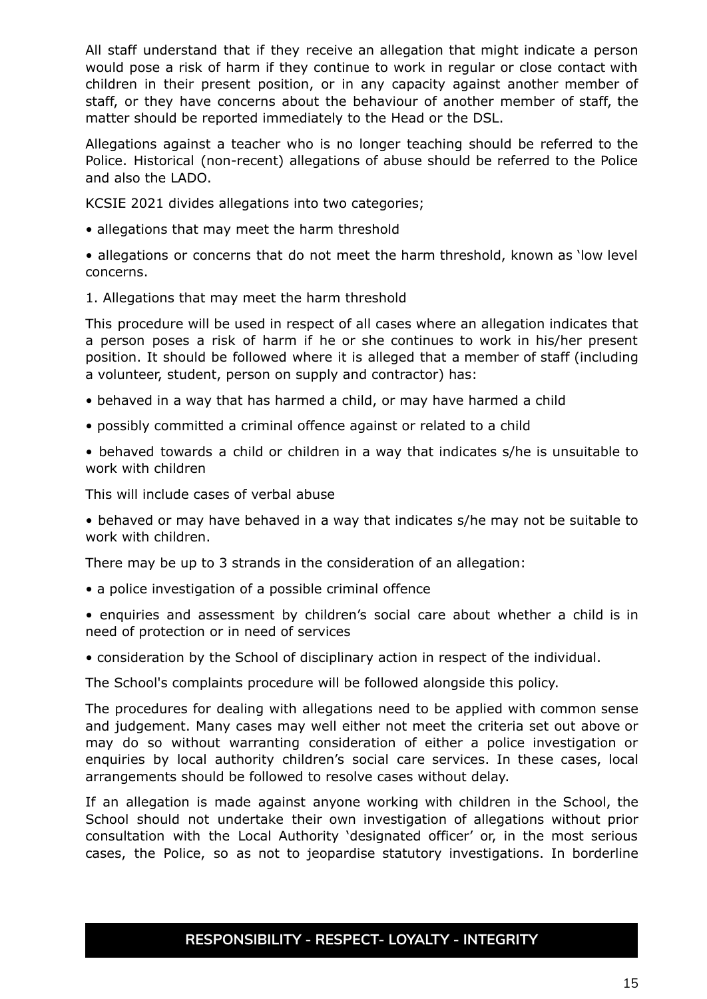All staff understand that if they receive an allegation that might indicate a person would pose a risk of harm if they continue to work in regular or close contact with children in their present position, or in any capacity against another member of staff, or they have concerns about the behaviour of another member of staff, the matter should be reported immediately to the Head or the DSL.

Allegations against a teacher who is no longer teaching should be referred to the Police. Historical (non-recent) allegations of abuse should be referred to the Police and also the LADO.

KCSIE 2021 divides allegations into two categories;

• allegations that may meet the harm threshold

• allegations or concerns that do not meet the harm threshold, known as 'low level concerns.

1. Allegations that may meet the harm threshold

This procedure will be used in respect of all cases where an allegation indicates that a person poses a risk of harm if he or she continues to work in his/her present position. It should be followed where it is alleged that a member of staff (including a volunteer, student, person on supply and contractor) has:

- behaved in a way that has harmed a child, or may have harmed a child
- possibly committed a criminal offence against or related to a child

• behaved towards a child or children in a way that indicates s/he is unsuitable to work with children

This will include cases of verbal abuse

• behaved or may have behaved in a way that indicates s/he may not be suitable to work with children.

There may be up to 3 strands in the consideration of an allegation:

- a police investigation of a possible criminal offence
- enquiries and assessment by children's social care about whether a child is in need of protection or in need of services
- consideration by the School of disciplinary action in respect of the individual.

The School's complaints procedure will be followed alongside this policy.

The procedures for dealing with allegations need to be applied with common sense and judgement. Many cases may well either not meet the criteria set out above or may do so without warranting consideration of either a police investigation or enquiries by local authority children's social care services. In these cases, local arrangements should be followed to resolve cases without delay.

If an allegation is made against anyone working with children in the School, the School should not undertake their own investigation of allegations without prior consultation with the Local Authority 'designated officer' or, in the most serious cases, the Police, so as not to jeopardise statutory investigations. In borderline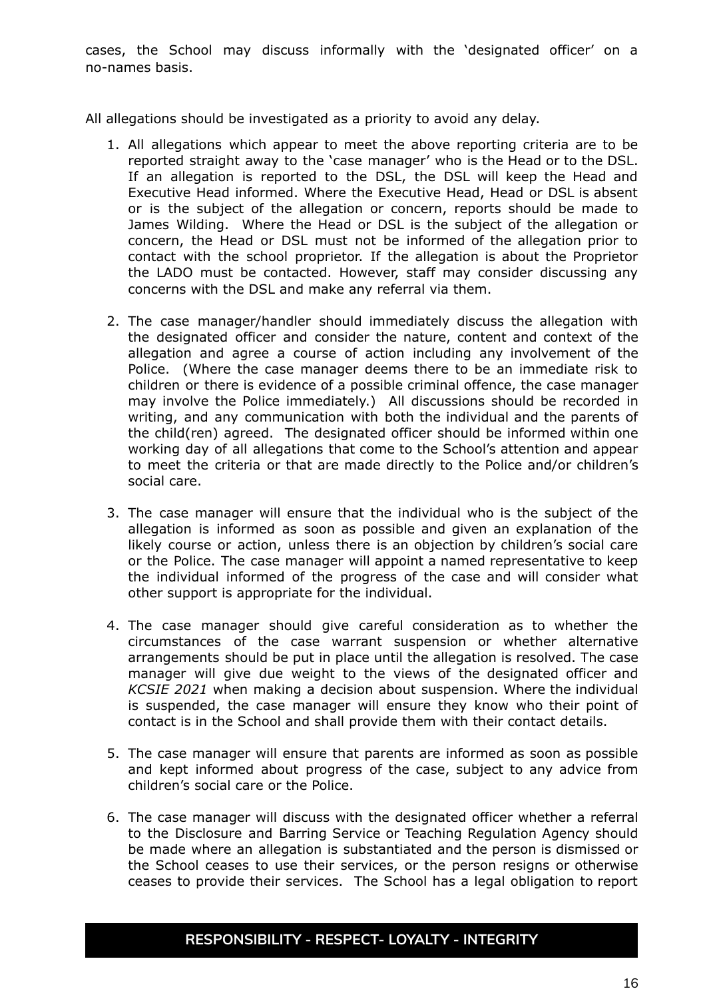cases, the School may discuss informally with the 'designated officer' on a no-names basis.

All allegations should be investigated as a priority to avoid any delay.

- 1. All allegations which appear to meet the above reporting criteria are to be reported straight away to the 'case manager' who is the Head or to the DSL. If an allegation is reported to the DSL, the DSL will keep the Head and Executive Head informed. Where the Executive Head, Head or DSL is absent or is the subject of the allegation or concern, reports should be made to James Wilding. Where the Head or DSL is the subject of the allegation or concern, the Head or DSL must not be informed of the allegation prior to contact with the school proprietor. If the allegation is about the Proprietor the LADO must be contacted. However, staff may consider discussing any concerns with the DSL and make any referral via them.
- 2. The case manager/handler should immediately discuss the allegation with the designated officer and consider the nature, content and context of the allegation and agree a course of action including any involvement of the Police. (Where the case manager deems there to be an immediate risk to children or there is evidence of a possible criminal offence, the case manager may involve the Police immediately.) All discussions should be recorded in writing, and any communication with both the individual and the parents of the child(ren) agreed. The designated officer should be informed within one working day of all allegations that come to the School's attention and appear to meet the criteria or that are made directly to the Police and/or children's social care.
- 3. The case manager will ensure that the individual who is the subject of the allegation is informed as soon as possible and given an explanation of the likely course or action, unless there is an objection by children's social care or the Police. The case manager will appoint a named representative to keep the individual informed of the progress of the case and will consider what other support is appropriate for the individual.
- 4. The case manager should give careful consideration as to whether the circumstances of the case warrant suspension or whether alternative arrangements should be put in place until the allegation is resolved. The case manager will give due weight to the views of the designated officer and *KCSIE 2021* when making a decision about suspension. Where the individual is suspended, the case manager will ensure they know who their point of contact is in the School and shall provide them with their contact details.
- 5. The case manager will ensure that parents are informed as soon as possible and kept informed about progress of the case, subject to any advice from children's social care or the Police.
- 6. The case manager will discuss with the designated officer whether a referral to the Disclosure and Barring Service or Teaching Regulation Agency should be made where an allegation is substantiated and the person is dismissed or the School ceases to use their services, or the person resigns or otherwise ceases to provide their services. The School has a legal obligation to report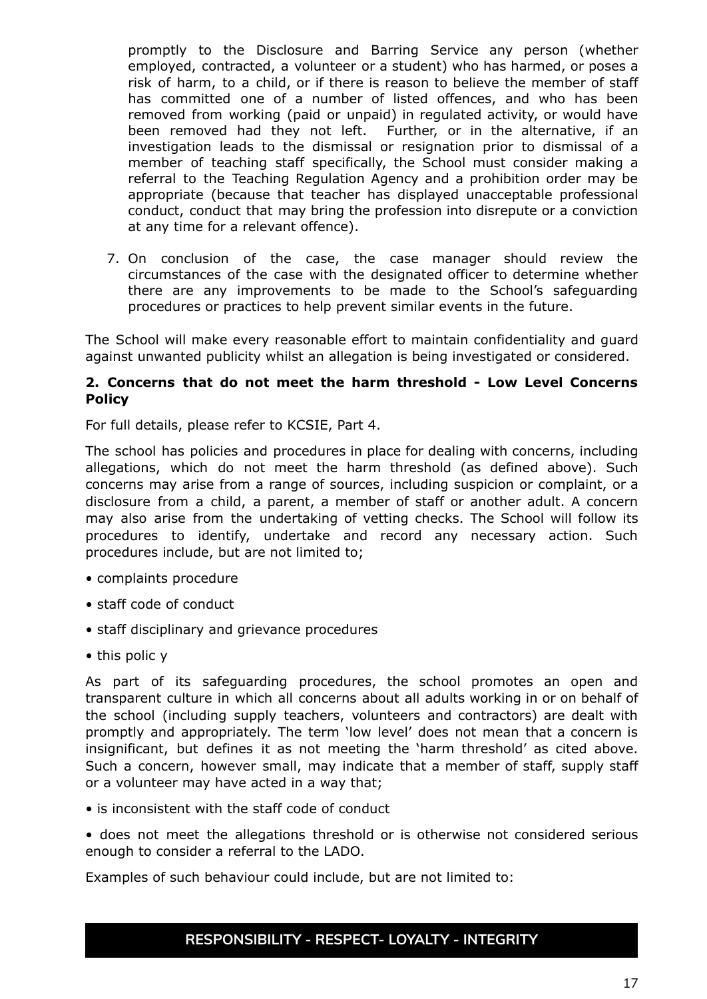promptly to the Disclosure and Barring Service any person (whether employed, contracted, a volunteer or a student) who has harmed, or poses a risk of harm, to a child, or if there is reason to believe the member of staff has committed one of a number of listed offences, and who has been removed from working (paid or unpaid) in regulated activity, or would have been removed had they not left. Further, or in the alternative, if an investigation leads to the dismissal or resignation prior to dismissal of a member of teaching staff specifically, the School must consider making a referral to the Teaching Regulation Agency and a prohibition order may be appropriate (because that teacher has displayed unacceptable professional conduct, conduct that may bring the profession into disrepute or a conviction at any time for a relevant offence).

7. On conclusion of the case, the case manager should review the circumstances of the case with the designated officer to determine whether there are any improvements to be made to the School's safeguarding procedures or practices to help prevent similar events in the future.

The School will make every reasonable effort to maintain confidentiality and guard against unwanted publicity whilst an allegation is being investigated or considered.

### **2. Concerns that do not meet the harm threshold - Low Level Concerns Policy**

For full details, please refer to KCSIE, Part 4.

The school has policies and procedures in place for dealing with concerns, including allegations, which do not meet the harm threshold (as defined above). Such concerns may arise from a range of sources, including suspicion or complaint, or a disclosure from a child, a parent, a member of staff or another adult. A concern may also arise from the undertaking of vetting checks. The School will follow its procedures to identify, undertake and record any necessary action. Such procedures include, but are not limited to;

- complaints procedure
- staff code of conduct
- staff disciplinary and grievance procedures
- this polic y

As part of its safeguarding procedures, the school promotes an open and transparent culture in which all concerns about all adults working in or on behalf of the school (including supply teachers, volunteers and contractors) are dealt with promptly and appropriately. The term 'low level' does not mean that a concern is insignificant, but defines it as not meeting the 'harm threshold' as cited above. Such a concern, however small, may indicate that a member of staff, supply staff or a volunteer may have acted in a way that;

• is inconsistent with the staff code of conduct

• does not meet the allegations threshold or is otherwise not considered serious enough to consider a referral to the LADO.

Examples of such behaviour could include, but are not limited to: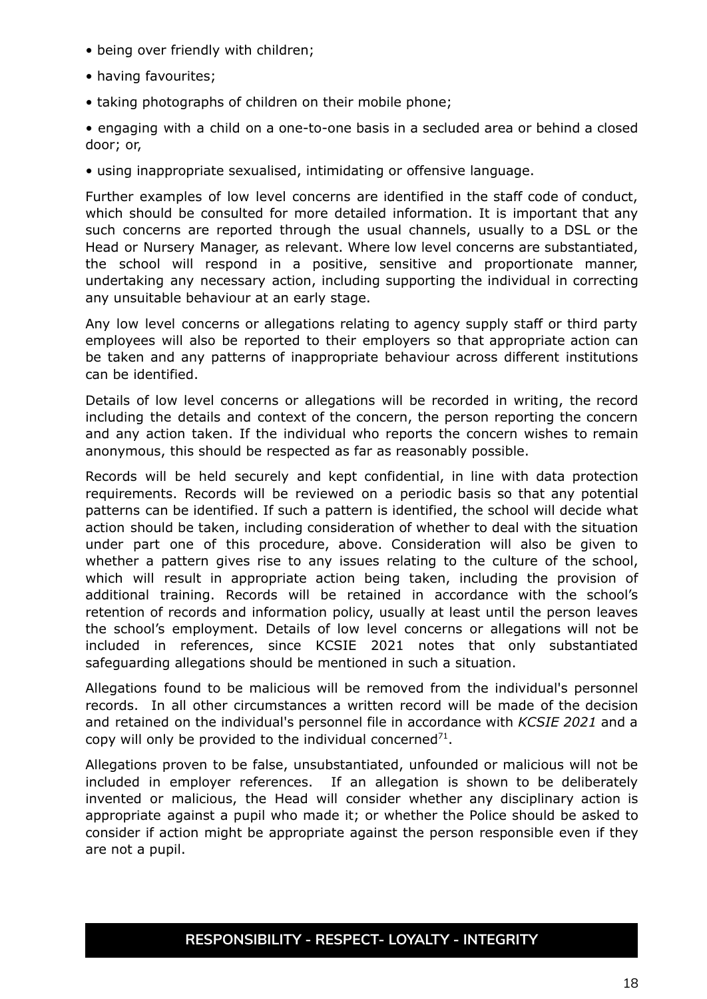- being over friendly with children;
- having favourites;
- taking photographs of children on their mobile phone;

• engaging with a child on a one-to-one basis in a secluded area or behind a closed door; or,

• using inappropriate sexualised, intimidating or offensive language.

Further examples of low level concerns are identified in the staff code of conduct, which should be consulted for more detailed information. It is important that any such concerns are reported through the usual channels, usually to a DSL or the Head or Nursery Manager, as relevant. Where low level concerns are substantiated, the school will respond in a positive, sensitive and proportionate manner, undertaking any necessary action, including supporting the individual in correcting any unsuitable behaviour at an early stage.

Any low level concerns or allegations relating to agency supply staff or third party employees will also be reported to their employers so that appropriate action can be taken and any patterns of inappropriate behaviour across different institutions can be identified.

Details of low level concerns or allegations will be recorded in writing, the record including the details and context of the concern, the person reporting the concern and any action taken. If the individual who reports the concern wishes to remain anonymous, this should be respected as far as reasonably possible.

Records will be held securely and kept confidential, in line with data protection requirements. Records will be reviewed on a periodic basis so that any potential patterns can be identified. If such a pattern is identified, the school will decide what action should be taken, including consideration of whether to deal with the situation under part one of this procedure, above. Consideration will also be given to whether a pattern gives rise to any issues relating to the culture of the school, which will result in appropriate action being taken, including the provision of additional training. Records will be retained in accordance with the school's retention of records and information policy, usually at least until the person leaves the school's employment. Details of low level concerns or allegations will not be included in references, since KCSIE 2021 notes that only substantiated safeguarding allegations should be mentioned in such a situation.

Allegations found to be malicious will be removed from the individual's personnel records. In all other circumstances a written record will be made of the decision and retained on the individual's personnel file in accordance with *KCSIE 2021* and a copy will only be provided to the individual concerned<sup>71</sup>.

Allegations proven to be false, unsubstantiated, unfounded or malicious will not be included in employer references. If an allegation is shown to be deliberately invented or malicious, the Head will consider whether any disciplinary action is appropriate against a pupil who made it; or whether the Police should be asked to consider if action might be appropriate against the person responsible even if they are not a pupil.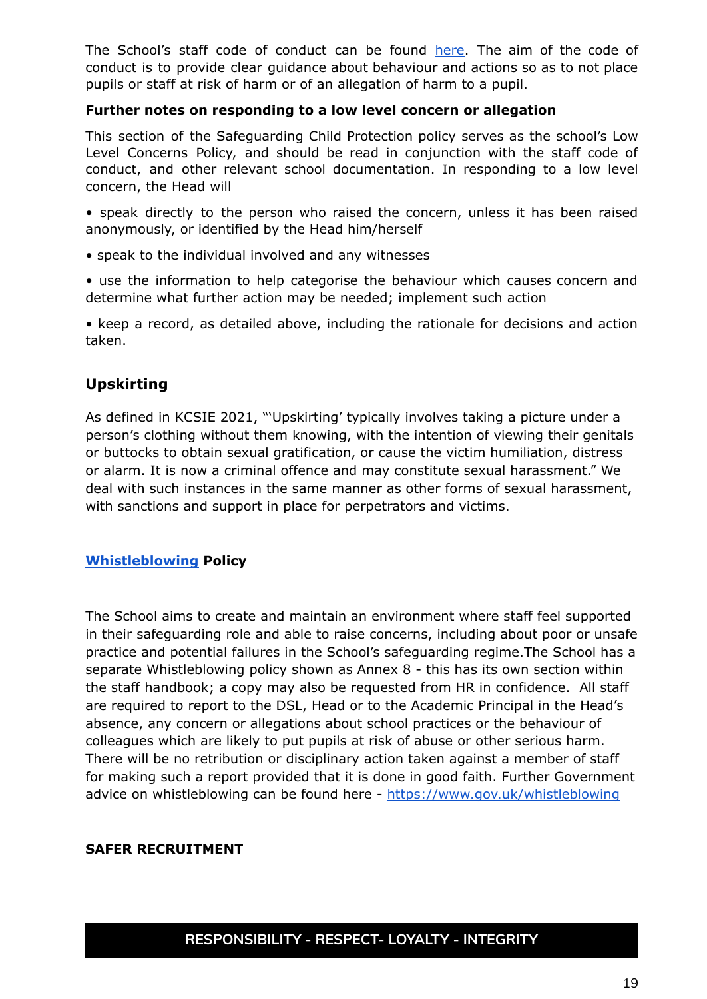The School's staff code of conduct can be found [here.](https://goo.gl/45H5Wp) The aim of the code of conduct is to provide clear guidance about behaviour and actions so as to not place pupils or staff at risk of harm or of an allegation of harm to a pupil.

#### **Further notes on responding to a low level concern or allegation**

This section of the Safeguarding Child Protection policy serves as the school's Low Level Concerns Policy, and should be read in conjunction with the staff code of conduct, and other relevant school documentation. In responding to a low level concern, the Head will

• speak directly to the person who raised the concern, unless it has been raised anonymously, or identified by the Head him/herself

• speak to the individual involved and any witnesses

• use the information to help categorise the behaviour which causes concern and determine what further action may be needed; implement such action

• keep a record, as detailed above, including the rationale for decisions and action taken.

## **Upskirting**

As defined in KCSIE 2021, "'Upskirting' typically involves taking a picture under a person's clothing without them knowing, with the intention of viewing their genitals or buttocks to obtain sexual gratification, or cause the victim humiliation, distress or alarm. It is now a criminal offence and may constitute sexual harassment." We deal with such instances in the same manner as other forms of sexual harassment, with sanctions and support in place for perpetrators and victims.

### **[Whistleblowing](#page-41-0) Policy**

The School aims to create and maintain an environment where staff feel supported in their safeguarding role and able to raise concerns, including about poor or unsafe practice and potential failures in the School's safeguarding regime.The School has a separate Whistleblowing policy shown as Annex 8 - this has its own section within the staff handbook; a copy may also be requested from HR in confidence. All staff are required to report to the DSL, Head or to the Academic Principal in the Head's absence, any concern or allegations about school practices or the behaviour of colleagues which are likely to put pupils at risk of abuse or other serious harm. There will be no retribution or disciplinary action taken against a member of staff for making such a report provided that it is done in good faith. Further Government advice on whistleblowing can be found here - <https://www.gov.uk/whistleblowing>

### **SAFER RECRUITMENT**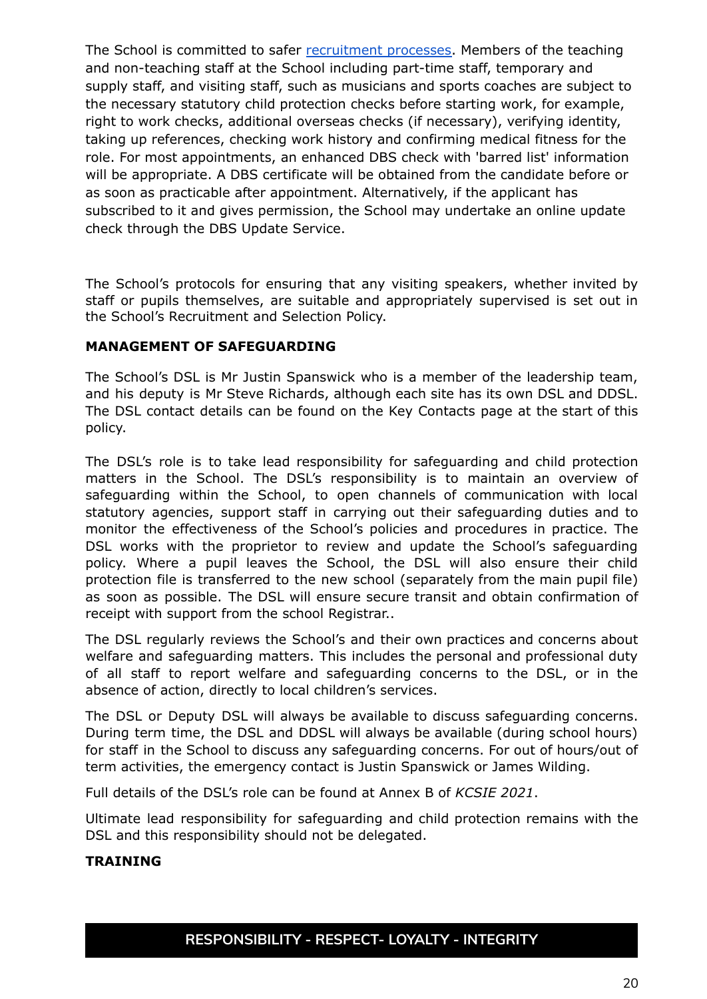The School is committed to safer [recruitment](#page-37-0) processes. Members of the teaching and non-teaching staff at the School including part-time staff, temporary and supply staff, and visiting staff, such as musicians and sports coaches are subject to the necessary statutory child protection checks before starting work, for example, right to work checks, additional overseas checks (if necessary), verifying identity, taking up references, checking work history and confirming medical fitness for the role. For most appointments, an enhanced DBS check with 'barred list' information will be appropriate. A DBS certificate will be obtained from the candidate before or as soon as practicable after appointment. Alternatively, if the applicant has subscribed to it and gives permission, the School may undertake an online update check through the DBS Update Service.

The School's protocols for ensuring that any visiting speakers, whether invited by staff or pupils themselves, are suitable and appropriately supervised is set out in the School's Recruitment and Selection Policy.

### **MANAGEMENT OF SAFEGUARDING**

The School's DSL is Mr Justin Spanswick who is a member of the leadership team, and his deputy is Mr Steve Richards, although each site has its own DSL and DDSL. The DSL contact details can be found on the Key Contacts page at the start of this policy.

The DSL's role is to take lead responsibility for safeguarding and child protection matters in the School. The DSL's responsibility is to maintain an overview of safeguarding within the School, to open channels of communication with local statutory agencies, support staff in carrying out their safeguarding duties and to monitor the effectiveness of the School's policies and procedures in practice. The DSL works with the proprietor to review and update the School's safeguarding policy. Where a pupil leaves the School, the DSL will also ensure their child protection file is transferred to the new school (separately from the main pupil file) as soon as possible. The DSL will ensure secure transit and obtain confirmation of receipt with support from the school Registrar..

The DSL regularly reviews the School's and their own practices and concerns about welfare and safeguarding matters. This includes the personal and professional duty of all staff to report welfare and safeguarding concerns to the DSL, or in the absence of action, directly to local children's services.

The DSL or Deputy DSL will always be available to discuss safeguarding concerns. During term time, the DSL and DDSL will always be available (during school hours) for staff in the School to discuss any safeguarding concerns. For out of hours/out of term activities, the emergency contact is Justin Spanswick or James Wilding.

Full details of the DSL's role can be found at Annex B of *KCSIE 2021*.

Ultimate lead responsibility for safeguarding and child protection remains with the DSL and this responsibility should not be delegated.

### **TRAINING**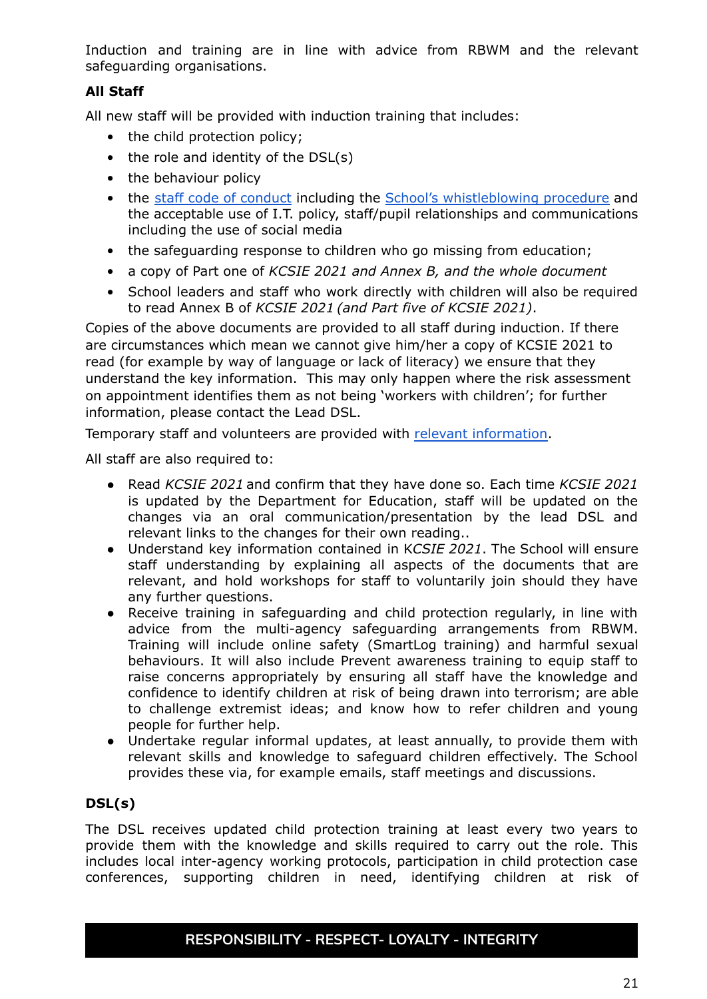Induction and training are in line with advice from RBWM and the relevant safeguarding organisations.

## **All Staff**

All new staff will be provided with induction training that includes:

- the child protection policy;
- the role and identity of the DSL(s)
- the behaviour policy
- the staff code of [conduct](https://goo.gl/45H5Wp) including the School's [whistleblowing](https://goo.gl/khCWaI) procedure and the acceptable use of I.T. policy, staff/pupil relationships and communications including the use of social media
- the safeguarding response to children who go missing from education;
- a copy of Part one of *KCSIE 2021 and Annex B, and the whole document*
- School leaders and staff who work directly with children will also be required to read Annex B of *KCSIE 2021 (and Part five of KCSIE 2021)*.

Copies of the above documents are provided to all staff during induction. If there are circumstances which mean we cannot give him/her a copy of KCSIE 2021 to read (for example by way of language or lack of literacy) we ensure that they understand the key information. This may only happen where the risk assessment on appointment identifies them as not being 'workers with children'; for further information, please contact the Lead DSL.

Temporary staff and volunteers are provided with relevant [information.](https://goo.gl/khCWaI)

All staff are also required to:

- Read *KCSIE 2021* and confirm that they have done so. Each time *KCSIE 2021* is updated by the Department for Education, staff will be updated on the changes via an oral communication/presentation by the lead DSL and relevant links to the changes for their own reading..
- Understand key information contained in K*CSIE 2021*. The School will ensure staff understanding by explaining all aspects of the documents that are relevant, and hold workshops for staff to voluntarily join should they have any further questions.
- Receive training in safeguarding and child protection regularly, in line with advice from the multi-agency safeguarding arrangements from RBWM. Training will include online safety (SmartLog training) and harmful sexual behaviours. It will also include Prevent awareness training to equip staff to raise concerns appropriately by ensuring all staff have the knowledge and confidence to identify children at risk of being drawn into terrorism; are able to challenge extremist ideas; and know how to refer children and young people for further help.
- Undertake regular informal updates, at least annually, to provide them with relevant skills and knowledge to safeguard children effectively. The School provides these via, for example emails, staff meetings and discussions.

### **DSL(s)**

The DSL receives updated child protection training at least every two years to provide them with the knowledge and skills required to carry out the role. This includes local inter-agency working protocols, participation in child protection case conferences, supporting children in need, identifying children at risk of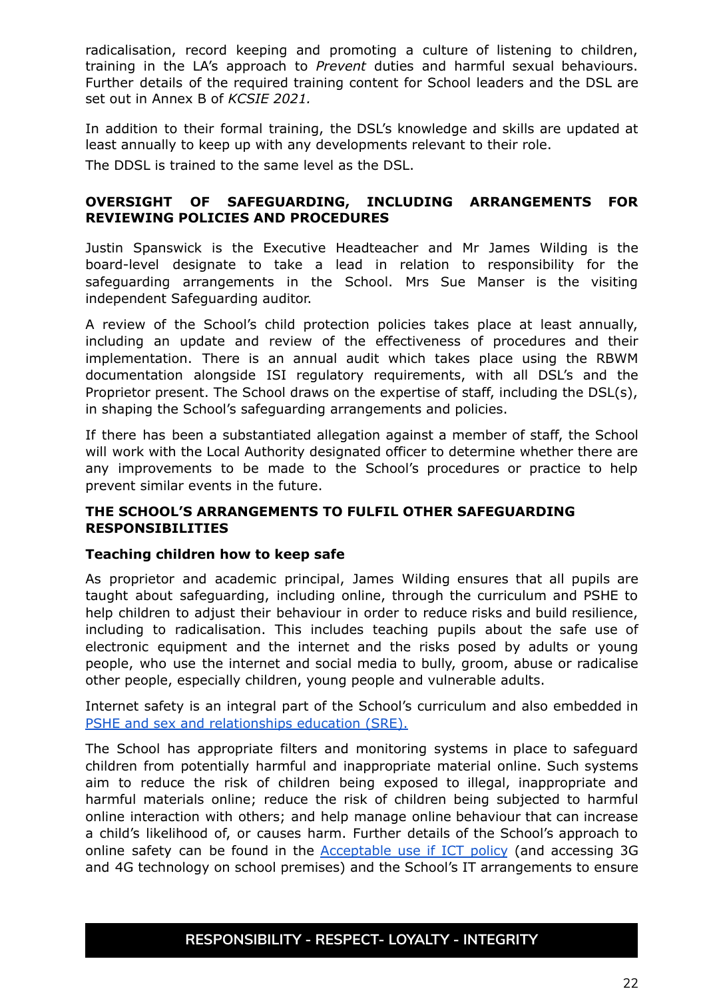radicalisation, record keeping and promoting a culture of listening to children, training in the LA's approach to *Prevent* duties and harmful sexual behaviours. Further details of the required training content for School leaders and the DSL are set out in Annex B of *KCSIE 2021.*

In addition to their formal training, the DSL's knowledge and skills are updated at least annually to keep up with any developments relevant to their role.

The DDSL is trained to the same level as the DSL.

### **OVERSIGHT OF SAFEGUARDING, INCLUDING ARRANGEMENTS FOR REVIEWING POLICIES AND PROCEDURES**

Justin Spanswick is the Executive Headteacher and Mr James Wilding is the board-level designate to take a lead in relation to responsibility for the safeguarding arrangements in the School. Mrs Sue Manser is the visiting independent Safeguarding auditor.

A review of the School's child protection policies takes place at least annually, including an update and review of the effectiveness of procedures and their implementation. There is an annual audit which takes place using the RBWM documentation alongside ISI regulatory requirements, with all DSL's and the Proprietor present. The School draws on the expertise of staff, including the DSL(s), in shaping the School's safeguarding arrangements and policies.

If there has been a substantiated allegation against a member of staff, the School will work with the Local Authority designated officer to determine whether there are any improvements to be made to the School's procedures or practice to help prevent similar events in the future.

### **THE SCHOOL'S ARRANGEMENTS TO FULFIL OTHER SAFEGUARDING RESPONSIBILITIES**

### **Teaching children how to keep safe**

As proprietor and academic principal, James Wilding ensures that all pupils are taught about safeguarding, including online, through the curriculum and PSHE to help children to adjust their behaviour in order to reduce risks and build resilience, including to radicalisation. This includes teaching pupils about the safe use of electronic equipment and the internet and the risks posed by adults or young people, who use the internet and social media to bully, groom, abuse or radicalise other people, especially children, young people and vulnerable adults.

Internet safety is an integral part of the School's curriculum and also embedded in PSHE and sex and [relationships](https://docs.google.com/document/d/1L44gAsJdmQnaTzFsg58yBNL6UvdyHC_qU1VqbiQQGFc/edit?ts=5d6f867c) education (SRE).

The School has appropriate filters and monitoring systems in place to safeguard children from potentially harmful and inappropriate material online. Such systems aim to reduce the risk of children being exposed to illegal, inappropriate and harmful materials online; reduce the risk of children being subjected to harmful online interaction with others; and help manage online behaviour that can increase a child's likelihood of, or causes harm. Further details of the School's approach to online safety can be found in the [Acceptable](http://schl.cc/3g) use if ICT policy (and accessing 3G and 4G technology on school premises) and the School's IT arrangements to ensure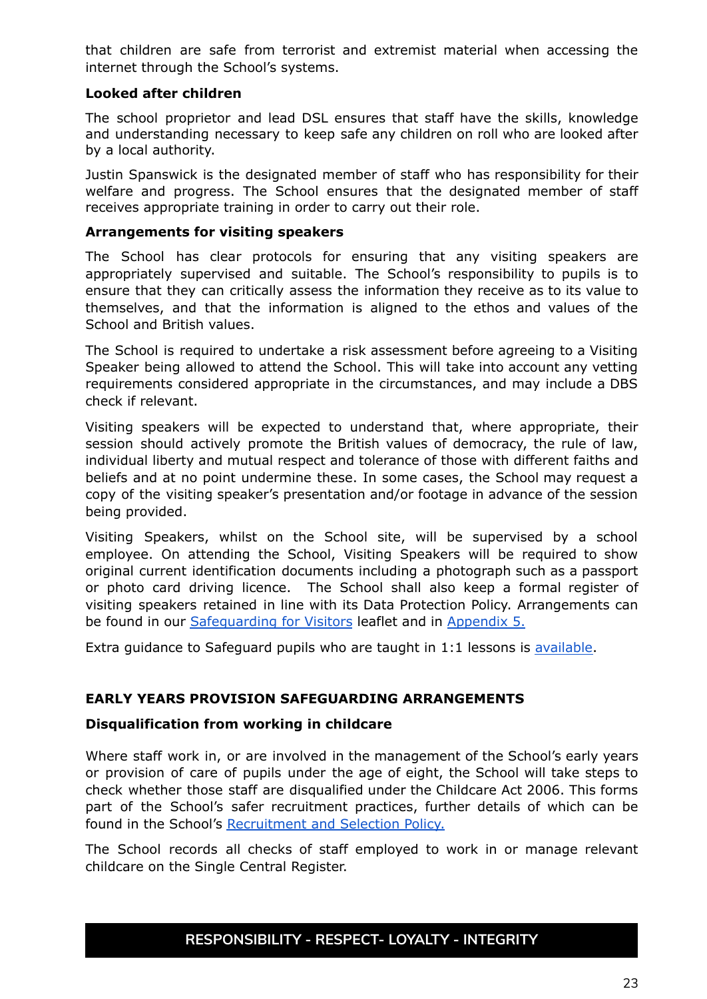that children are safe from terrorist and extremist material when accessing the internet through the School's systems.

### **Looked after children**

The school proprietor and lead DSL ensures that staff have the skills, knowledge and understanding necessary to keep safe any children on roll who are looked after by a local authority.

Justin Spanswick is the designated member of staff who has responsibility for their welfare and progress. The School ensures that the designated member of staff receives appropriate training in order to carry out their role.

### **Arrangements for visiting speakers**

The School has clear protocols for ensuring that any visiting speakers are appropriately supervised and suitable. The School's responsibility to pupils is to ensure that they can critically assess the information they receive as to its value to themselves, and that the information is aligned to the ethos and values of the School and British values.

The School is required to undertake a risk assessment before agreeing to a Visiting Speaker being allowed to attend the School. This will take into account any vetting requirements considered appropriate in the circumstances, and may include a DBS check if relevant.

Visiting speakers will be expected to understand that, where appropriate, their session should actively promote the British values of democracy, the rule of law, individual liberty and mutual respect and tolerance of those with different faiths and beliefs and at no point undermine these. In some cases, the School may request a copy of the visiting speaker's presentation and/or footage in advance of the session being provided.

Visiting Speakers, whilst on the School site, will be supervised by a school employee. On attending the School, Visiting Speakers will be required to show original current identification documents including a photograph such as a passport or photo card driving licence. The School shall also keep a formal register of visiting speakers retained in line with its Data Protection Policy. Arrangements can be found in our [Safeguarding](https://docs.google.com/document/d/1TKINJ4DD1kXP9oLzAAwpMGnKcfnFFSW3xZmk8ZoILrY/edit?usp=sharing) for Visitors leaflet and in [Appendix](#page-37-0) 5.

Extra guidance to Safeguard pupils who are taught in 1:1 lessons is [available.](https://docs.google.com/document/d/1CQ7DoZCpkUwc-G9fwFGd3RcSPb_dY8VIBUOYtRIm8uQ/edit)

### **EARLY YEARS PROVISION SAFEGUARDING ARRANGEMENTS**

### **Disqualification from working in childcare**

Where staff work in, or are involved in the management of the School's early years or provision of care of pupils under the age of eight, the School will take steps to check whether those staff are disqualified under the Childcare Act 2006. This forms part of the School's safer recruitment practices, further details of which can be found in the School's [Recruitment](#page-37-0) and Selection Policy.

The School records all checks of staff employed to work in or manage relevant childcare on the Single Central Register.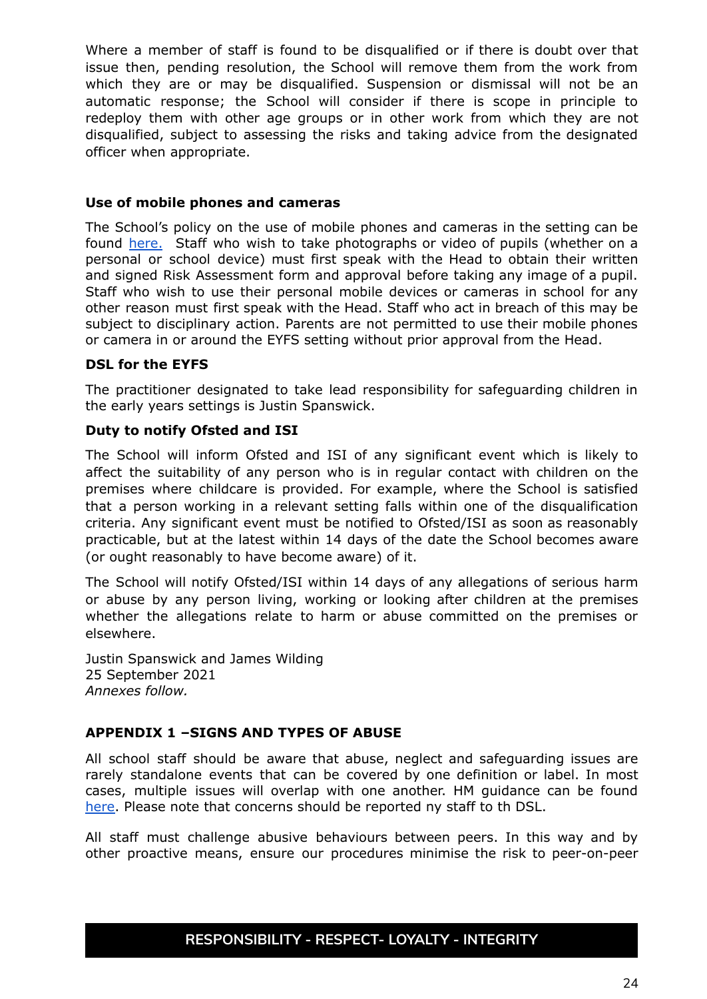Where a member of staff is found to be disqualified or if there is doubt over that issue then, pending resolution, the School will remove them from the work from which they are or may be disqualified. Suspension or dismissal will not be an automatic response; the School will consider if there is scope in principle to redeploy them with other age groups or in other work from which they are not disqualified, subject to assessing the risks and taking advice from the designated officer when appropriate.

#### **Use of mobile phones and cameras**

The School's policy on the use of mobile phones and cameras in the setting can be found [here.](https://goo.gl/TjuFCM) Staff who wish to take photographs or video of pupils (whether on a personal or school device) must first speak with the Head to obtain their written and signed Risk Assessment form and approval before taking any image of a pupil. Staff who wish to use their personal mobile devices or cameras in school for any other reason must first speak with the Head. Staff who act in breach of this may be subject to disciplinary action. Parents are not permitted to use their mobile phones or camera in or around the EYFS setting without prior approval from the Head.

### **DSL for the EYFS**

The practitioner designated to take lead responsibility for safeguarding children in the early years settings is Justin Spanswick.

### **Duty to notify Ofsted and ISI**

The School will inform Ofsted and ISI of any significant event which is likely to affect the suitability of any person who is in regular contact with children on the premises where childcare is provided. For example, where the School is satisfied that a person working in a relevant setting falls within one of the disqualification criteria. Any significant event must be notified to Ofsted/ISI as soon as reasonably practicable, but at the latest within 14 days of the date the School becomes aware (or ought reasonably to have become aware) of it.

The School will notify Ofsted/ISI within 14 days of any allegations of serious harm or abuse by any person living, working or looking after children at the premises whether the allegations relate to harm or abuse committed on the premises or elsewhere.

Justin Spanswick and James Wilding 25 September 2021 *Annexes follow.*

### <span id="page-23-0"></span>**APPENDIX 1 –SIGNS AND TYPES OF ABUSE**

All school staff should be aware that abuse, neglect and safeguarding issues are rarely standalone events that can be covered by one definition or label. In most cases, multiple issues will overlap with one another. HM guidance can be found [here.](https://www.gov.uk/government/publications/what-to-do-if-youre-worried-a-child-is-being-abused--2) Please note that concerns should be reported ny staff to th DSL.

All staff must challenge abusive behaviours between peers. In this way and by other proactive means, ensure our procedures minimise the risk to peer-on-peer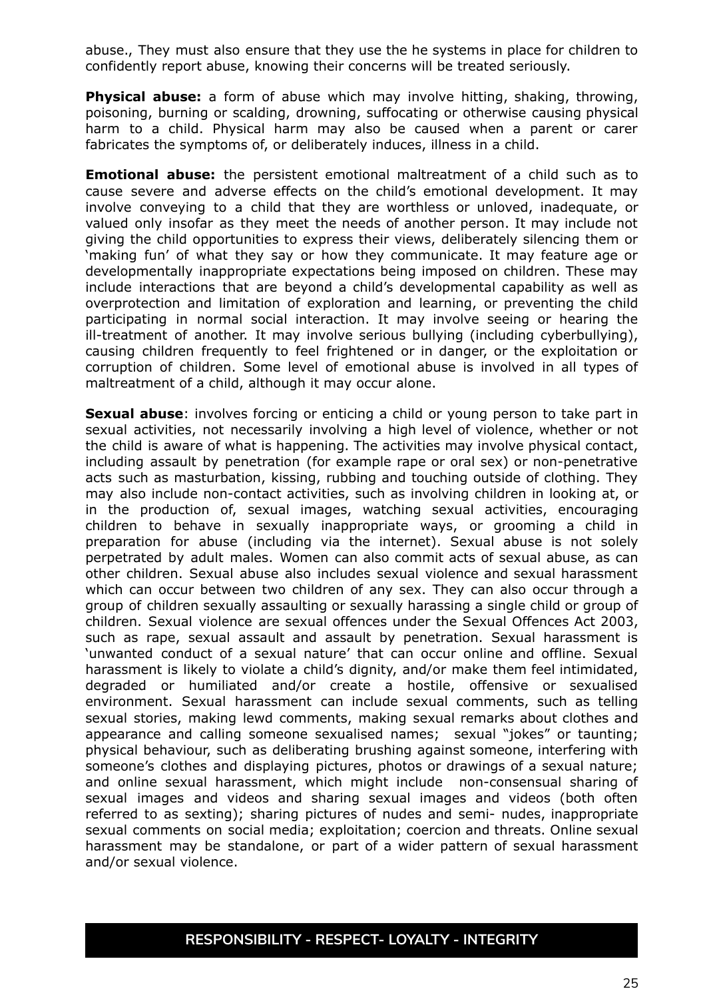abuse., They must also ensure that they use the he systems in place for children to confidently report abuse, knowing their concerns will be treated seriously.

**Physical abuse:** a form of abuse which may involve hitting, shaking, throwing, poisoning, burning or scalding, drowning, suffocating or otherwise causing physical harm to a child. Physical harm may also be caused when a parent or carer fabricates the symptoms of, or deliberately induces, illness in a child.

**Emotional abuse:** the persistent emotional maltreatment of a child such as to cause severe and adverse effects on the child's emotional development. It may involve conveying to a child that they are worthless or unloved, inadequate, or valued only insofar as they meet the needs of another person. It may include not giving the child opportunities to express their views, deliberately silencing them or 'making fun' of what they say or how they communicate. It may feature age or developmentally inappropriate expectations being imposed on children. These may include interactions that are beyond a child's developmental capability as well as overprotection and limitation of exploration and learning, or preventing the child participating in normal social interaction. It may involve seeing or hearing the ill-treatment of another. It may involve serious bullying (including cyberbullying), causing children frequently to feel frightened or in danger, or the exploitation or corruption of children. Some level of emotional abuse is involved in all types of maltreatment of a child, although it may occur alone.

**Sexual abuse**: involves forcing or enticing a child or young person to take part in sexual activities, not necessarily involving a high level of violence, whether or not the child is aware of what is happening. The activities may involve physical contact, including assault by penetration (for example rape or oral sex) or non-penetrative acts such as masturbation, kissing, rubbing and touching outside of clothing. They may also include non-contact activities, such as involving children in looking at, or in the production of, sexual images, watching sexual activities, encouraging children to behave in sexually inappropriate ways, or grooming a child in preparation for abuse (including via the internet). Sexual abuse is not solely perpetrated by adult males. Women can also commit acts of sexual abuse, as can other children. Sexual abuse also includes sexual violence and sexual harassment which can occur between two children of any sex. They can also occur through a group of children sexually assaulting or sexually harassing a single child or group of children. Sexual violence are sexual offences under the Sexual Offences Act 2003, such as rape, sexual assault and assault by penetration. Sexual harassment is 'unwanted conduct of a sexual nature' that can occur online and offline. Sexual harassment is likely to violate a child's dignity, and/or make them feel intimidated, degraded or humiliated and/or create a hostile, offensive or sexualised environment. Sexual harassment can include sexual comments, such as telling sexual stories, making lewd comments, making sexual remarks about clothes and appearance and calling someone sexualised names; sexual "jokes" or taunting; physical behaviour, such as deliberating brushing against someone, interfering with someone's clothes and displaying pictures, photos or drawings of a sexual nature; and online sexual harassment, which might include non-consensual sharing of sexual images and videos and sharing sexual images and videos (both often referred to as sexting); sharing pictures of nudes and semi- nudes, inappropriate sexual comments on social media; exploitation; coercion and threats. Online sexual harassment may be standalone, or part of a wider pattern of sexual harassment and/or sexual violence.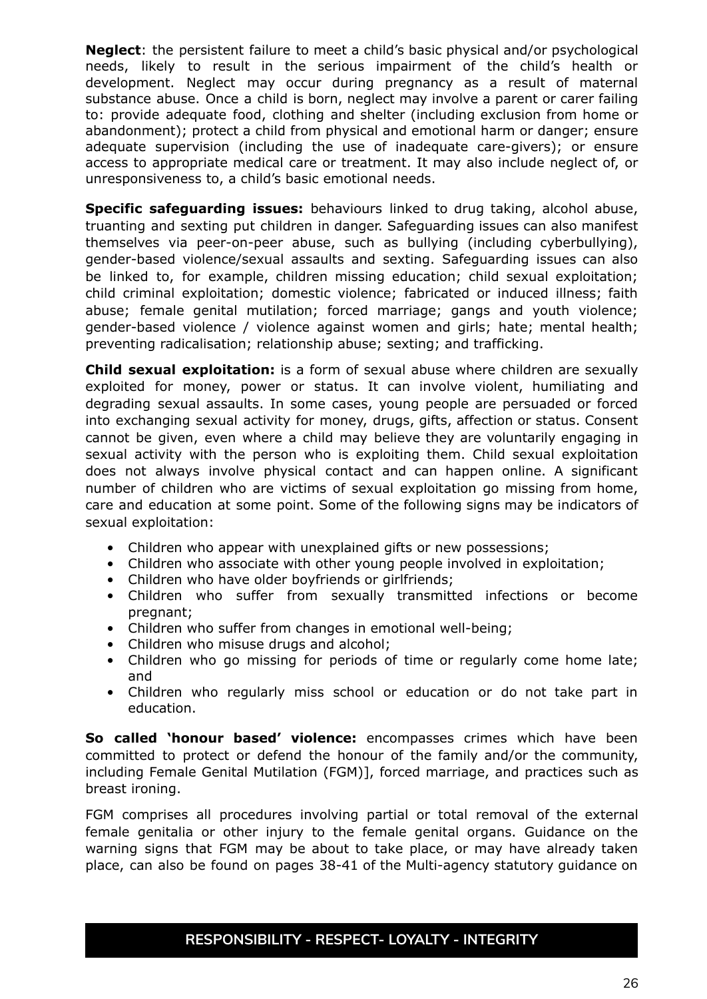**Neglect**: the persistent failure to meet a child's basic physical and/or psychological needs, likely to result in the serious impairment of the child's health or development. Neglect may occur during pregnancy as a result of maternal substance abuse. Once a child is born, neglect may involve a parent or carer failing to: provide adequate food, clothing and shelter (including exclusion from home or abandonment); protect a child from physical and emotional harm or danger; ensure adequate supervision (including the use of inadequate care-givers); or ensure access to appropriate medical care or treatment. It may also include neglect of, or unresponsiveness to, a child's basic emotional needs.

**Specific safeguarding issues:** behaviours linked to drug taking, alcohol abuse, truanting and sexting put children in danger. Safeguarding issues can also manifest themselves via peer-on-peer abuse, such as bullying (including cyberbullying), gender-based violence/sexual assaults and sexting. Safeguarding issues can also be linked to, for example, children missing education; child sexual exploitation; child criminal exploitation; domestic violence; fabricated or induced illness; faith abuse; female genital mutilation; forced marriage; gangs and youth violence; gender-based violence / violence against women and girls; hate; mental health; preventing radicalisation; relationship abuse; sexting; and trafficking.

**Child sexual exploitation:** is a form of sexual abuse where children are sexually exploited for money, power or status. It can involve violent, humiliating and degrading sexual assaults. In some cases, young people are persuaded or forced into exchanging sexual activity for money, drugs, gifts, affection or status. Consent cannot be given, even where a child may believe they are voluntarily engaging in sexual activity with the person who is exploiting them. Child sexual exploitation does not always involve physical contact and can happen online. A significant number of children who are victims of sexual exploitation go missing from home, care and education at some point. Some of the following signs may be indicators of sexual exploitation:

- Children who appear with unexplained gifts or new possessions;
- Children who associate with other young people involved in exploitation;
- Children who have older boyfriends or girlfriends;
- Children who suffer from sexually transmitted infections or become pregnant;
- Children who suffer from changes in emotional well-being;
- Children who misuse drugs and alcohol;
- Children who go missing for periods of time or regularly come home late; and
- Children who regularly miss school or education or do not take part in education.

**So called 'honour based' violence:** encompasses crimes which have been committed to protect or defend the honour of the family and/or the community, including Female Genital Mutilation (FGM)], forced marriage, and practices such as breast ironing.

FGM comprises all procedures involving partial or total removal of the external female genitalia or other injury to the female genital organs. Guidance on the warning signs that FGM may be about to take place, or may have already taken place, can also be found on pages 38-41 of the Multi-agency statutory guidance on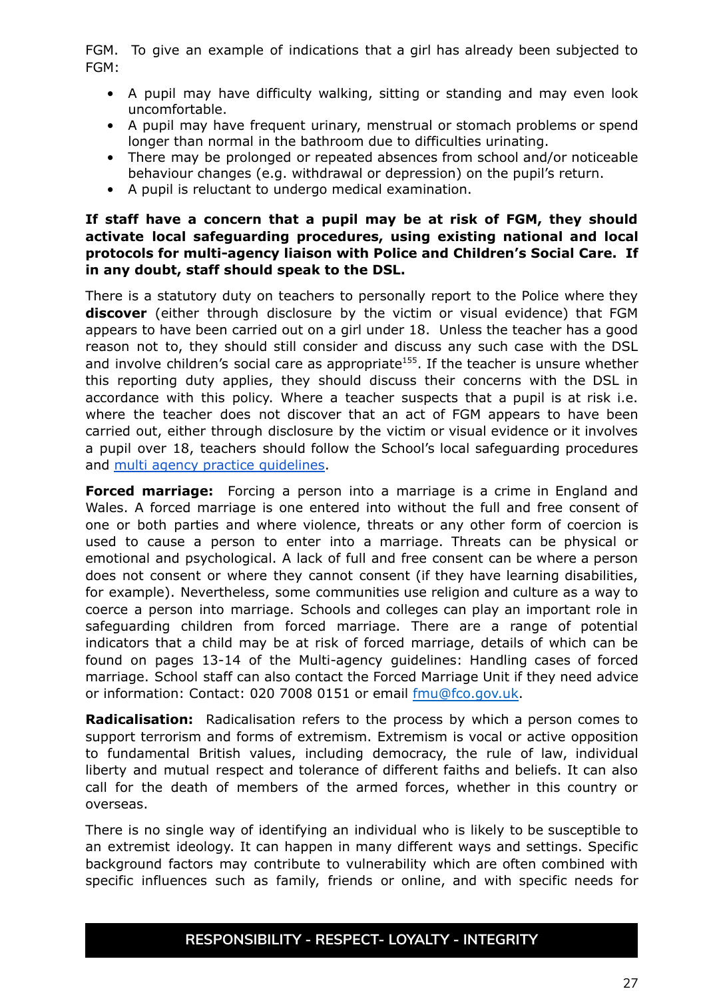FGM. To give an example of indications that a girl has already been subjected to FGM:

- A pupil may have difficulty walking, sitting or standing and may even look uncomfortable.
- A pupil may have frequent urinary, menstrual or stomach problems or spend longer than normal in the bathroom due to difficulties urinating.
- There may be prolonged or repeated absences from school and/or noticeable behaviour changes (e.g. withdrawal or depression) on the pupil's return.
- A pupil is reluctant to undergo medical examination.

### **If staff have a concern that a pupil may be at risk of FGM, they should activate local safeguarding procedures, using existing national and local protocols for multi-agency liaison with Police and Children's Social Care. If in any doubt, staff should speak to the DSL.**

There is a statutory duty on teachers to personally report to the Police where they **discover** (either through disclosure by the victim or visual evidence) that FGM appears to have been carried out on a girl under 18. Unless the teacher has a good reason not to, they should still consider and discuss any such case with the DSL and involve children's social care as appropriate<sup>155</sup>. If the teacher is unsure whether this reporting duty applies, they should discuss their concerns with the DSL in accordance with this policy. Where a teacher suspects that a pupil is at risk i.e. where the teacher does not discover that an act of FGM appears to have been carried out, either through disclosure by the victim or visual evidence or it involves a pupil over 18, teachers should follow the School's local safeguarding procedures and multi agency practice [guidelines.](https://www.gov.uk/government/publications/female-genital-mutilation-guidelines)

**Forced marriage:** Forcing a person into a marriage is a crime in England and Wales. A forced marriage is one entered into without the full and free consent of one or both parties and where violence, threats or any other form of coercion is used to cause a person to enter into a marriage. Threats can be physical or emotional and psychological. A lack of full and free consent can be where a person does not consent or where they cannot consent (if they have learning disabilities, for example). Nevertheless, some communities use religion and culture as a way to coerce a person into marriage. Schools and colleges can play an important role in safeguarding children from forced marriage. There are a range of potential indicators that a child may be at risk of forced marriage, details of which can be found on pages 13-14 of the Multi-agency guidelines: Handling cases of forced marriage. School staff can also contact the Forced Marriage Unit if they need advice or information: Contact: 020 7008 0151 or email [fmu@fco.gov.uk](mailto:fmu@fco.gov.uk).

**Radicalisation:** Radicalisation refers to the process by which a person comes to support terrorism and forms of extremism. Extremism is vocal or active opposition to fundamental British values, including democracy, the rule of law, individual liberty and mutual respect and tolerance of different faiths and beliefs. It can also call for the death of members of the armed forces, whether in this country or overseas.

There is no single way of identifying an individual who is likely to be susceptible to an extremist ideology. It can happen in many different ways and settings. Specific background factors may contribute to vulnerability which are often combined with specific influences such as family, friends or online, and with specific needs for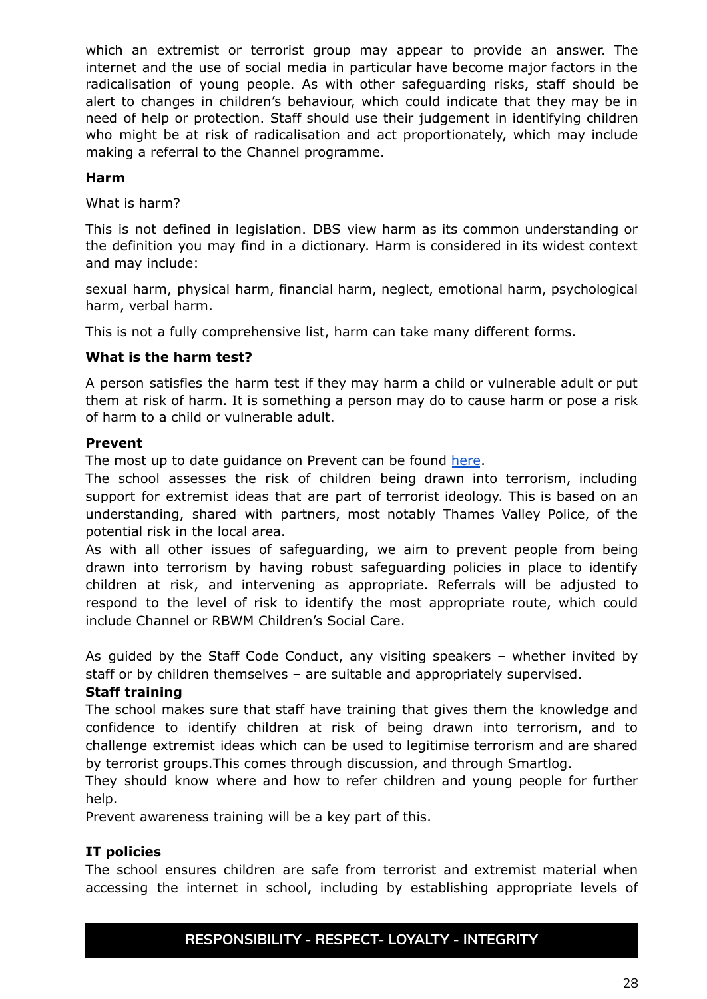which an extremist or terrorist group may appear to provide an answer. The internet and the use of social media in particular have become major factors in the radicalisation of young people. As with other safeguarding risks, staff should be alert to changes in children's behaviour, which could indicate that they may be in need of help or protection. Staff should use their judgement in identifying children who might be at risk of radicalisation and act proportionately, which may include making a referral to the Channel programme.

#### **Harm**

What is harm?

This is not defined in legislation. DBS view harm as its common understanding or the definition you may find in a dictionary. Harm is considered in its widest context and may include:

sexual harm, physical harm, financial harm, neglect, emotional harm, psychological harm, verbal harm.

This is not a fully comprehensive list, harm can take many different forms.

#### **What is the harm test?**

A person satisfies the harm test if they may harm a child or vulnerable adult or put them at risk of harm. It is something a person may do to cause harm or pose a risk of harm to a child or vulnerable adult.

#### **Prevent**

The most up to date guidance on Prevent can be found [here](https://www.gov.uk/government/publications/prevent-duty-guidance).

The school assesses the risk of children being drawn into terrorism, including support for extremist ideas that are part of terrorist ideology. This is based on an understanding, shared with partners, most notably Thames Valley Police, of the potential risk in the local area.

As with all other issues of safeguarding, we aim to prevent people from being drawn into terrorism by having robust safeguarding policies in place to identify children at risk, and intervening as appropriate. Referrals will be adjusted to respond to the level of risk to identify the most appropriate route, which could include Channel or RBWM Children's Social Care.

As guided by the Staff Code Conduct, any visiting speakers – whether invited by staff or by children themselves – are suitable and appropriately supervised.

### **Staff training**

The school makes sure that staff have training that gives them the knowledge and confidence to identify children at risk of being drawn into terrorism, and to challenge extremist ideas which can be used to legitimise terrorism and are shared by terrorist groups.This comes through discussion, and through Smartlog.

They should know where and how to refer children and young people for further help.

Prevent awareness training will be a key part of this.

### **IT policies**

The school ensures children are safe from terrorist and extremist material when accessing the internet in school, including by establishing appropriate levels of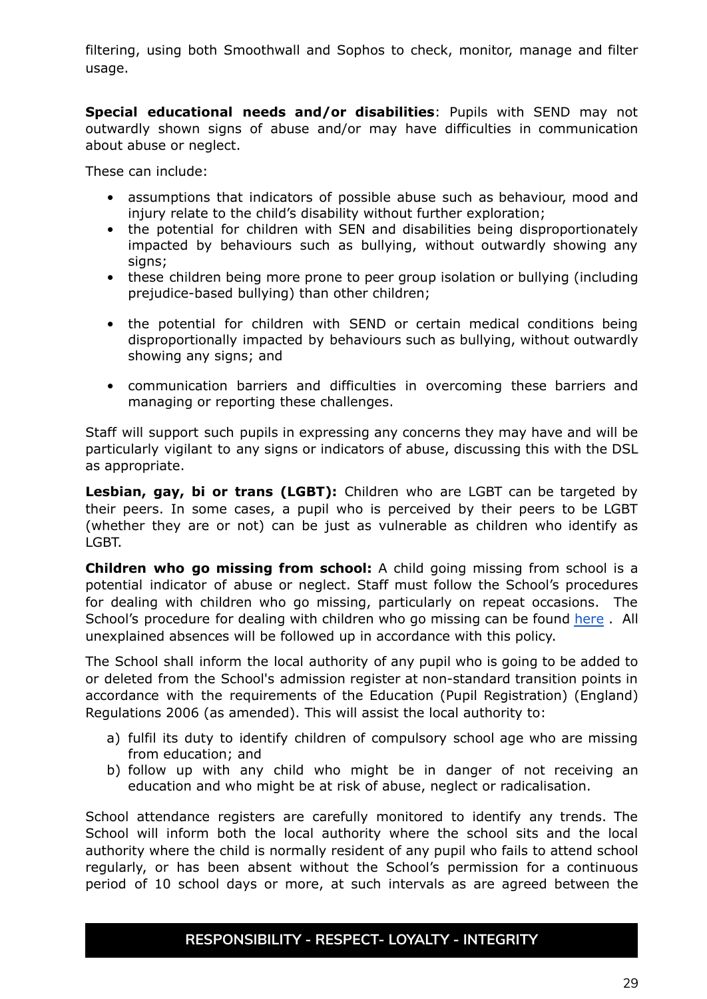filtering, using both Smoothwall and Sophos to check, monitor, manage and filter usage.

**Special educational needs and/or disabilities**: Pupils with SEND may not outwardly shown signs of abuse and/or may have difficulties in communication about abuse or neglect.

These can include:

- assumptions that indicators of possible abuse such as behaviour, mood and injury relate to the child's disability without further exploration;
- the potential for children with SEN and disabilities being disproportionately impacted by behaviours such as bullying, without outwardly showing any signs;
- these children being more prone to peer group isolation or bullying (including prejudice-based bullying) than other children;
- the potential for children with SEND or certain medical conditions being disproportionally impacted by behaviours such as bullying, without outwardly showing any signs; and
- communication barriers and difficulties in overcoming these barriers and managing or reporting these challenges.

Staff will support such pupils in expressing any concerns they may have and will be particularly vigilant to any signs or indicators of abuse, discussing this with the DSL as appropriate.

**Lesbian, gay, bi or trans (LGBT):** Children who are LGBT can be targeted by their peers. In some cases, a pupil who is perceived by their peers to be LGBT (whether they are or not) can be just as vulnerable as children who identify as LGBT.

**Children who go missing from school:** A child going missing from school is a potential indicator of abuse or neglect. Staff must follow the School's procedures for dealing with children who go missing, particularly on repeat occasions. The School's procedure for dealing with children who go missing can be found [here](https://docs.google.com/document/d/1b2jBNJ6r5X809FnspvC0HEpRzNP8ucvrHkWSVKM7B6w/edit) . All unexplained absences will be followed up in accordance with this policy.

The School shall inform the local authority of any pupil who is going to be added to or deleted from the School's admission register at non-standard transition points in accordance with the requirements of the Education (Pupil Registration) (England) Regulations 2006 (as amended). This will assist the local authority to:

- a) fulfil its duty to identify children of compulsory school age who are missing from education; and
- b) follow up with any child who might be in danger of not receiving an education and who might be at risk of abuse, neglect or radicalisation.

School attendance registers are carefully monitored to identify any trends. The School will inform both the local authority where the school sits and the local authority where the child is normally resident of any pupil who fails to attend school regularly, or has been absent without the School's permission for a continuous period of 10 school days or more, at such intervals as are agreed between the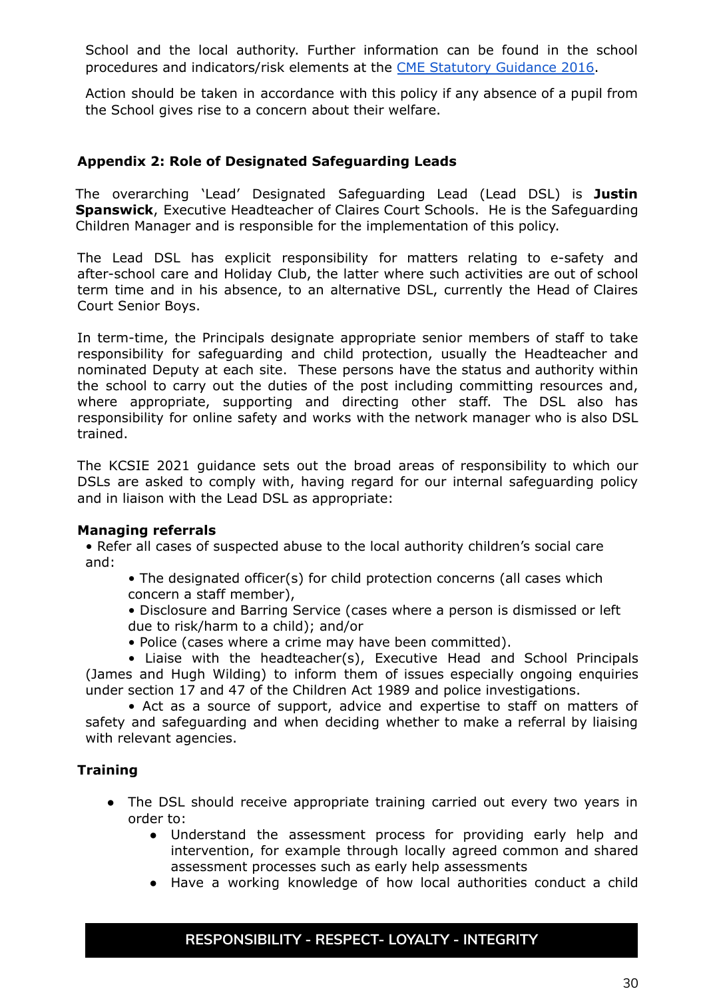School and the local authority. Further information can be found in the school procedures and indicators/risk elements at the CME [Statutory](http://berks.proceduresonline.com/windsor_maidenhead/p_ch_missing_educ.html) Guidance 2016.

Action should be taken in accordance with this policy if any absence of a pupil from the School gives rise to a concern about their welfare.

### <span id="page-29-0"></span>**Appendix 2: Role of Designated Safeguarding Leads**

The overarching 'Lead' Designated Safeguarding Lead (Lead DSL) is **Justin Spanswick**, Executive Headteacher of Claires Court Schools. He is the Safeguarding Children Manager and is responsible for the implementation of this policy.

The Lead DSL has explicit responsibility for matters relating to e-safety and after-school care and Holiday Club, the latter where such activities are out of school term time and in his absence, to an alternative DSL, currently the Head of Claires Court Senior Boys.

In term-time, the Principals designate appropriate senior members of staff to take responsibility for safeguarding and child protection, usually the Headteacher and nominated Deputy at each site. These persons have the status and authority within the school to carry out the duties of the post including committing resources and, where appropriate, supporting and directing other staff. The DSL also has responsibility for online safety and works with the network manager who is also DSL trained.

The KCSIE 2021 guidance sets out the broad areas of responsibility to which our DSLs are asked to comply with, having regard for our internal safeguarding policy and in liaison with the Lead DSL as appropriate:

### **Managing referrals**

• Refer all cases of suspected abuse to the local authority children's social care and:

• The designated officer(s) for child protection concerns (all cases which concern a staff member),

• Disclosure and Barring Service (cases where a person is dismissed or left due to risk/harm to a child); and/or

• Police (cases where a crime may have been committed).

• Liaise with the headteacher(s), Executive Head and School Principals (James and Hugh Wilding) to inform them of issues especially ongoing enquiries under section 17 and 47 of the Children Act 1989 and police investigations.

• Act as a source of support, advice and expertise to staff on matters of safety and safeguarding and when deciding whether to make a referral by liaising with relevant agencies.

### **Training**

- The DSL should receive appropriate training carried out every two vears in order to:
	- Understand the assessment process for providing early help and intervention, for example through locally agreed common and shared assessment processes such as early help assessments
	- Have a working knowledge of how local authorities conduct a child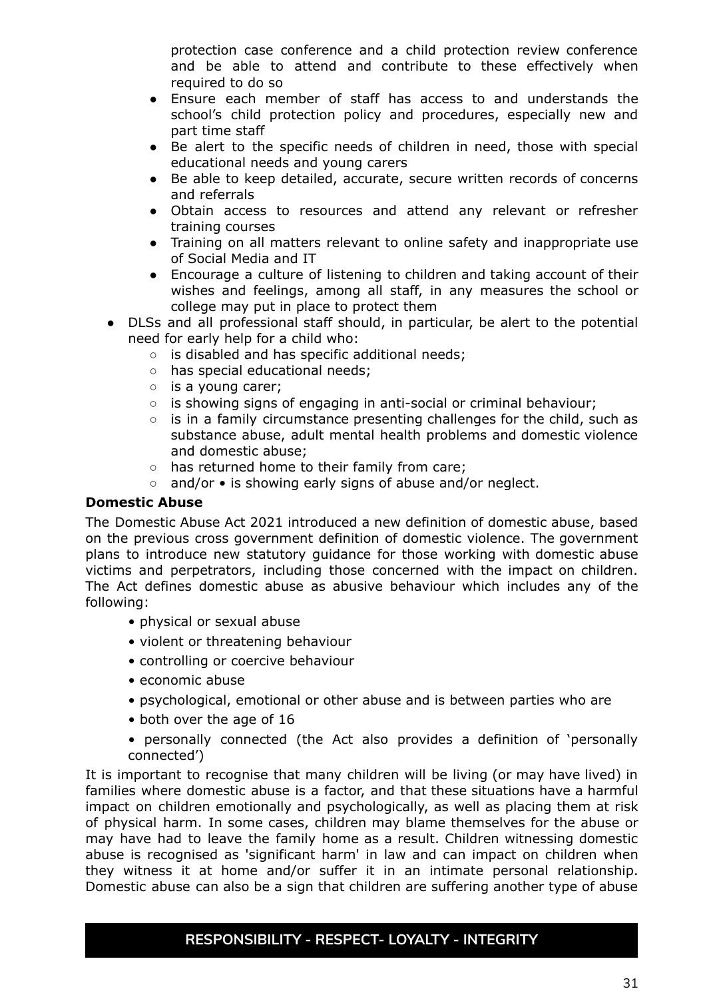protection case conference and a child protection review conference and be able to attend and contribute to these effectively when required to do so

- Ensure each member of staff has access to and understands the school's child protection policy and procedures, especially new and part time staff
- Be alert to the specific needs of children in need, those with special educational needs and young carers
- Be able to keep detailed, accurate, secure written records of concerns and referrals
- Obtain access to resources and attend any relevant or refresher training courses
- Training on all matters relevant to online safety and inappropriate use of Social Media and IT
- Encourage a culture of listening to children and taking account of their wishes and feelings, among all staff, in any measures the school or college may put in place to protect them
- DLSs and all professional staff should, in particular, be alert to the potential need for early help for a child who:
	- o is disabled and has specific additional needs;
	- has special educational needs;
	- is a young carer;
	- $\circ$  is showing signs of engaging in anti-social or criminal behaviour;
	- $\circ$  is in a family circumstance presenting challenges for the child, such as substance abuse, adult mental health problems and domestic violence and domestic abuse;
	- has returned home to their family from care;
	- and/or is showing early signs of abuse and/or neglect.

### **Domestic Abuse**

The Domestic Abuse Act 2021 introduced a new definition of domestic abuse, based on the previous cross government definition of domestic violence. The government plans to introduce new statutory guidance for those working with domestic abuse victims and perpetrators, including those concerned with the impact on children. The Act defines domestic abuse as abusive behaviour which includes any of the following:

- physical or sexual abuse
- violent or threatening behaviour
- controlling or coercive behaviour
- economic abuse
- psychological, emotional or other abuse and is between parties who are
- both over the age of 16
- personally connected (the Act also provides a definition of 'personally connected')

It is important to recognise that many children will be living (or may have lived) in families where domestic abuse is a factor, and that these situations have a harmful impact on children emotionally and psychologically, as well as placing them at risk of physical harm. In some cases, children may blame themselves for the abuse or may have had to leave the family home as a result. Children witnessing domestic abuse is recognised as 'significant harm' in law and can impact on children when they witness it at home and/or suffer it in an intimate personal relationship. Domestic abuse can also be a sign that children are suffering another type of abuse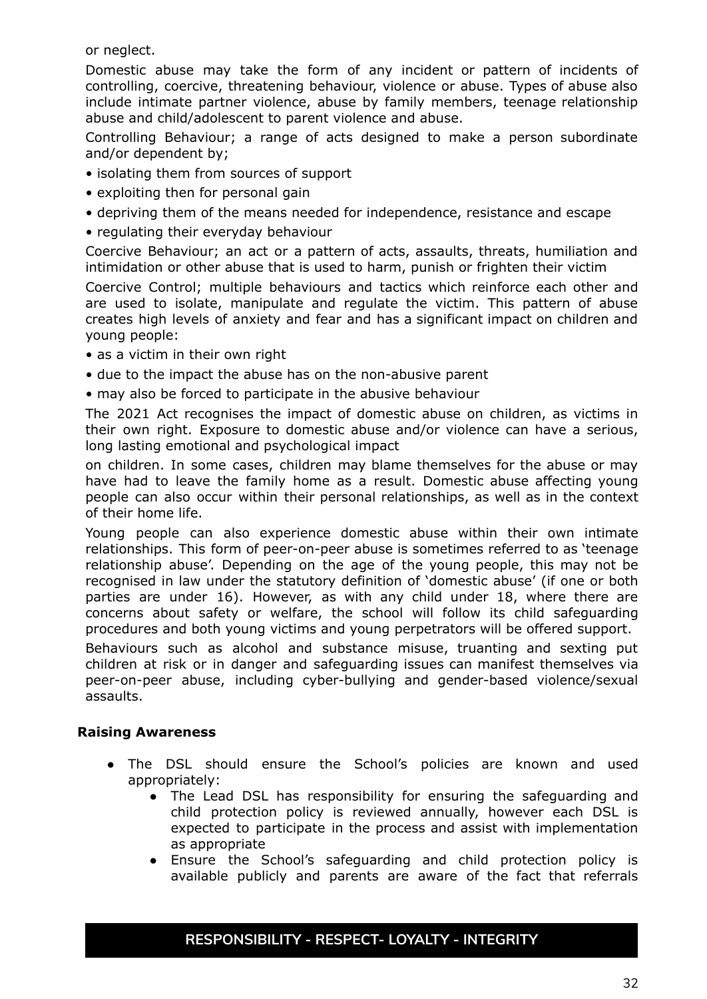or neglect.

Domestic abuse may take the form of any incident or pattern of incidents of controlling, coercive, threatening behaviour, violence or abuse. Types of abuse also include intimate partner violence, abuse by family members, teenage relationship abuse and child/adolescent to parent violence and abuse.

Controlling Behaviour; a range of acts designed to make a person subordinate and/or dependent by;

- isolating them from sources of support
- exploiting then for personal gain
- depriving them of the means needed for independence, resistance and escape
- regulating their everyday behaviour

Coercive Behaviour; an act or a pattern of acts, assaults, threats, humiliation and intimidation or other abuse that is used to harm, punish or frighten their victim

Coercive Control; multiple behaviours and tactics which reinforce each other and are used to isolate, manipulate and regulate the victim. This pattern of abuse creates high levels of anxiety and fear and has a significant impact on children and young people:

- as a victim in their own right
- due to the impact the abuse has on the non-abusive parent
- may also be forced to participate in the abusive behaviour

The 2021 Act recognises the impact of domestic abuse on children, as victims in their own right. Exposure to domestic abuse and/or violence can have a serious, long lasting emotional and psychological impact

on children. In some cases, children may blame themselves for the abuse or may have had to leave the family home as a result. Domestic abuse affecting young people can also occur within their personal relationships, as well as in the context of their home life.

Young people can also experience domestic abuse within their own intimate relationships. This form of peer-on-peer abuse is sometimes referred to as 'teenage relationship abuse'. Depending on the age of the young people, this may not be recognised in law under the statutory definition of 'domestic abuse' (if one or both parties are under 16). However, as with any child under 18, where there are concerns about safety or welfare, the school will follow its child safeguarding procedures and both young victims and young perpetrators will be offered support.

Behaviours such as alcohol and substance misuse, truanting and sexting put children at risk or in danger and safeguarding issues can manifest themselves via peer-on-peer abuse, including cyber-bullying and gender-based violence/sexual assaults.

### **Raising Awareness**

- The DSL should ensure the School's policies are known and used appropriately:
	- The Lead DSL has responsibility for ensuring the safeguarding and child protection policy is reviewed annually, however each DSL is expected to participate in the process and assist with implementation as appropriate
	- Ensure the School's safeguarding and child protection policy is available publicly and parents are aware of the fact that referrals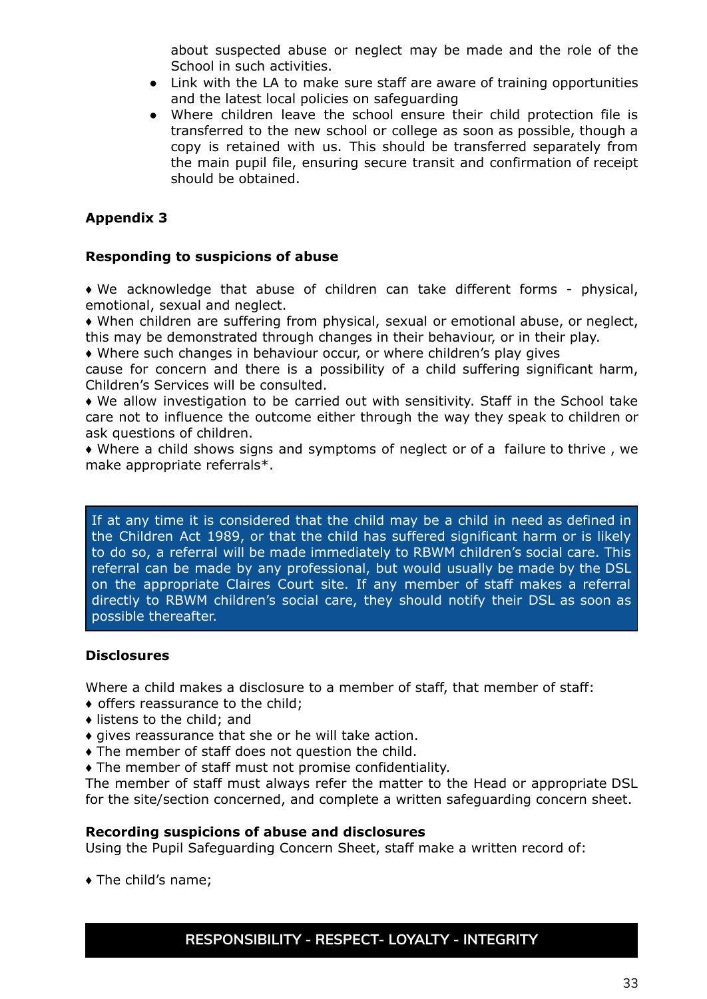about suspected abuse or neglect may be made and the role of the School in such activities.

- Link with the LA to make sure staff are aware of training opportunities and the latest local policies on safeguarding
- Where children leave the school ensure their child protection file is transferred to the new school or college as soon as possible, though a copy is retained with us. This should be transferred separately from the main pupil file, ensuring secure transit and confirmation of receipt should be obtained.

## <span id="page-32-0"></span>**Appendix 3**

### **Responding to suspicions of abuse**

♦ We acknowledge that abuse of children can take different forms - physical, emotional, sexual and neglect.

♦ When children are suffering from physical, sexual or emotional abuse, or neglect, this may be demonstrated through changes in their behaviour, or in their play.

♦ Where such changes in behaviour occur, or where children's play gives

cause for concern and there is a possibility of a child suffering significant harm, Children's Services will be consulted.

♦ We allow investigation to be carried out with sensitivity. Staff in the School take care not to influence the outcome either through the way they speak to children or ask questions of children.

♦ Where a child shows signs and symptoms of neglect or of a failure to thrive , we make appropriate referrals\*.

If at any time it is considered that the child may be a child in need as defined in the Children Act 1989, or that the child has suffered significant harm or is likely to do so, a referral will be made immediately to RBWM children's social care. This referral can be made by any professional, but would usually be made by the DSL on the appropriate Claires Court site. If any member of staff makes a referral directly to RBWM children's social care, they should notify their DSL as soon as possible thereafter.

### **Disclosures**

Where a child makes a disclosure to a member of staff, that member of staff:

- ♦ offers reassurance to the child;
- ♦ listens to the child; and
- ♦ gives reassurance that she or he will take action.
- ♦ The member of staff does not question the child.
- ♦ The member of staff must not promise confidentiality.

The member of staff must always refer the matter to the Head or appropriate DSL for the site/section concerned, and complete a written safeguarding concern sheet.

#### **Recording suspicions of abuse and disclosures**

Using the Pupil Safeguarding Concern Sheet, staff make a written record of:

♦ The child's name;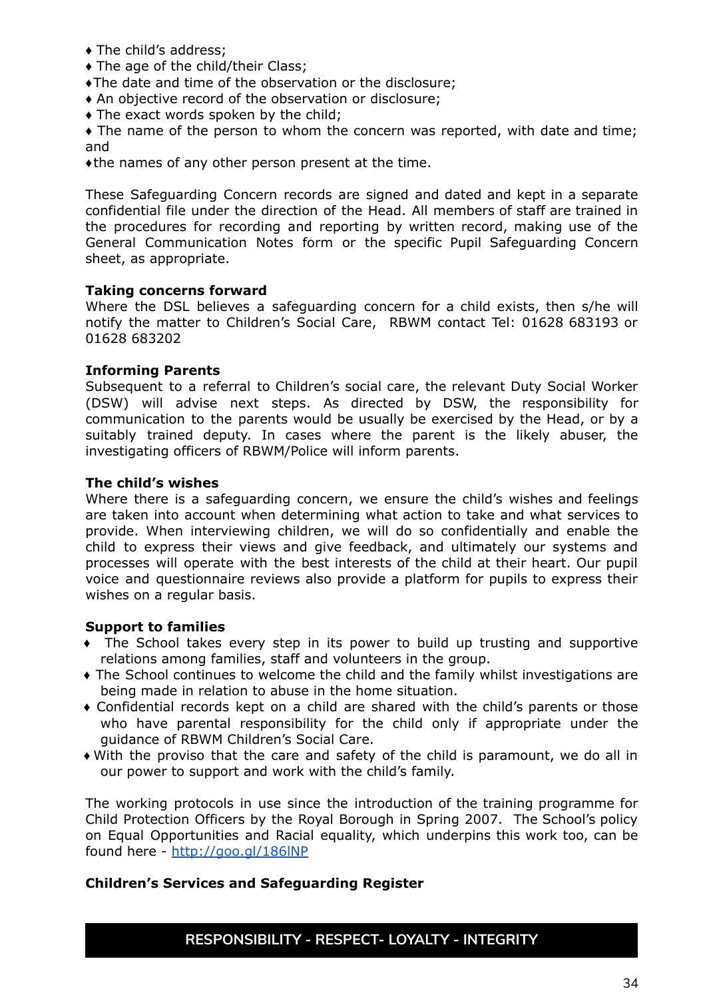- ♦ The child's address;
- ♦ The age of the child/their Class;
- ♦The date and time of the observation or the disclosure;
- ♦ An objective record of the observation or disclosure;
- ♦ The exact words spoken by the child;

♦ The name of the person to whom the concern was reported, with date and time; and

♦the names of any other person present at the time.

These Safeguarding Concern records are signed and dated and kept in a separate confidential file under the direction of the Head. All members of staff are trained in the procedures for recording and reporting by written record, making use of the General Communication Notes form or the specific Pupil Safeguarding Concern sheet, as appropriate.

#### **Taking concerns forward**

Where the DSL believes a safeguarding concern for a child exists, then s/he will notify the matter to Children's Social Care, RBWM contact Tel: 01628 683193 or 01628 683202

### **Informing Parents**

Subsequent to a referral to Children's social care, the relevant Duty Social Worker (DSW) will advise next steps. As directed by DSW, the responsibility for communication to the parents would be usually be exercised by the Head, or by a suitably trained deputy. In cases where the parent is the likely abuser, the investigating officers of RBWM/Police will inform parents.

#### <span id="page-33-0"></span>**The child's wishes**

Where there is a safeguarding concern, we ensure the child's wishes and feelings are taken into account when determining what action to take and what services to provide. When interviewing children, we will do so confidentially and enable the child to express their views and give feedback, and ultimately our systems and processes will operate with the best interests of the child at their heart. Our pupil voice and questionnaire reviews also provide a platform for pupils to express their wishes on a regular basis.

### **Support to families**

- ♦ The School takes every step in its power to build up trusting and supportive relations among families, staff and volunteers in the group.
- ♦ The School continues to welcome the child and the family whilst investigations are being made in relation to abuse in the home situation.
- ♦ Confidential records kept on a child are shared with the child's parents or those who have parental responsibility for the child only if appropriate under the guidance of RBWM Children's Social Care.
- ♦ With the proviso that the care and safety of the child is paramount, we do all in our power to support and work with the child's family.

The working protocols in use since the introduction of the training programme for Child Protection Officers by the Royal Borough in Spring 2007. The School's policy on Equal Opportunities and Racial equality, which underpins this work too, can be found here - <http://goo.gl/186lNP>

### **Children's Services and Safeguarding Register**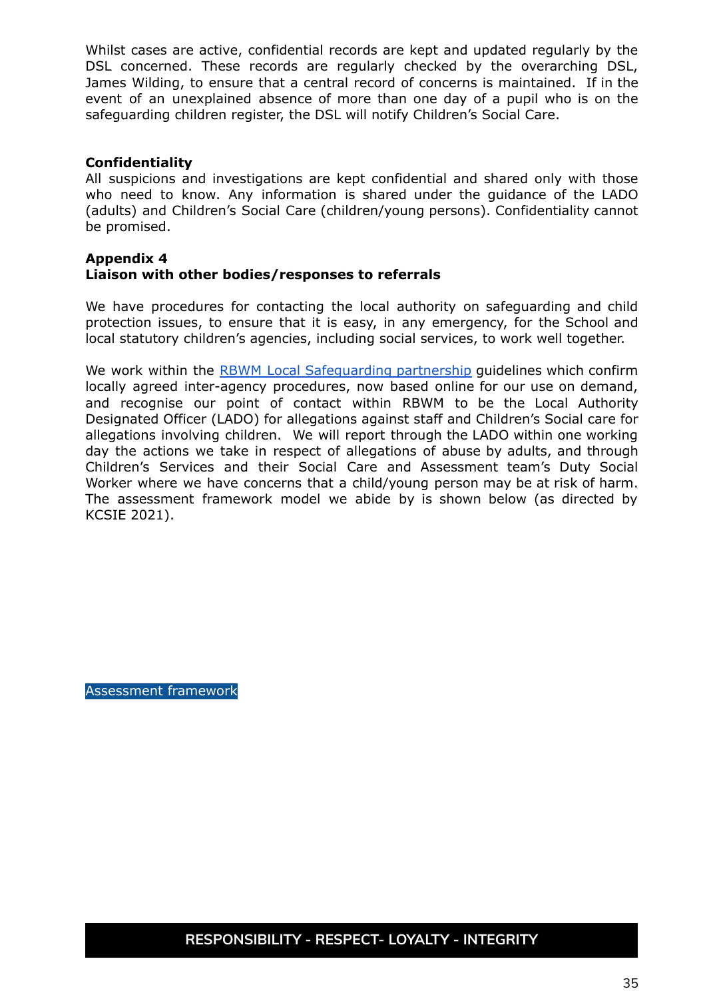Whilst cases are active, confidential records are kept and updated regularly by the DSL concerned. These records are regularly checked by the overarching DSL, James Wilding, to ensure that a central record of concerns is maintained. If in the event of an unexplained absence of more than one day of a pupil who is on the safeguarding children register, the DSL will notify Children's Social Care.

#### **Confidentiality**

All suspicions and investigations are kept confidential and shared only with those who need to know. Any information is shared under the guidance of the LADO (adults) and Children's Social Care (children/young persons). Confidentiality cannot be promised.

#### **Appendix 4 Liaison with other bodies/responses to referrals**

We have procedures for contacting the local authority on safeguarding and child protection issues, to ensure that it is easy, in any emergency, for the School and local statutory children's agencies, including social services, to work well together.

We work within the RBWM Local [Safeguarding](https://rbwmsafeguardingpartnership.org.uk/) partnership quidelines which confirm locally agreed inter-agency procedures, now based online for our use on demand, and recognise our point of contact within RBWM to be the Local Authority Designated Officer (LADO) for allegations against staff and Children's Social care for allegations involving children. We will report through the LADO within one working day the actions we take in respect of allegations of abuse by adults, and through Children's Services and their Social Care and Assessment team's Duty Social Worker where we have concerns that a child/young person may be at risk of harm. The assessment framework model we abide by is shown below (as directed by KCSIE 2021).

Assessment framework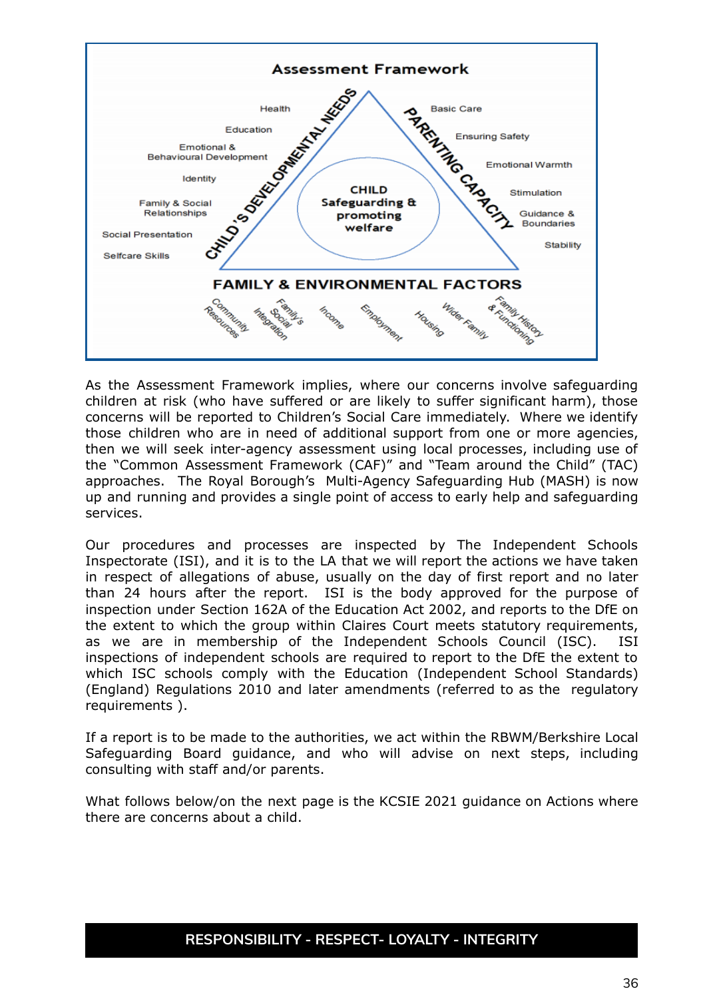

As the Assessment Framework implies, where our concerns involve safeguarding children at risk (who have suffered or are likely to suffer significant harm), those concerns will be reported to Children's Social Care immediately. Where we identify those children who are in need of additional support from one or more agencies, then we will seek inter-agency assessment using local processes, including use of the "Common Assessment Framework (CAF)" and "Team around the Child" (TAC) approaches. The Royal Borough's Multi-Agency Safeguarding Hub (MASH) is now up and running and provides a single point of access to early help and safeguarding services.

Our procedures and processes are inspected by The Independent Schools Inspectorate (ISI), and it is to the LA that we will report the actions we have taken in respect of allegations of abuse, usually on the day of first report and no later than 24 hours after the report. ISI is the body approved for the purpose of inspection under Section 162A of the Education Act 2002, and reports to the DfE on the extent to which the group within Claires Court meets statutory requirements, as we are in membership of the Independent Schools Council (ISC). ISI inspections of independent schools are required to report to the DfE the extent to which ISC schools comply with the Education (Independent School Standards) (England) Regulations 2010 and later amendments (referred to as the regulatory requirements ).

If a report is to be made to the authorities, we act within the RBWM/Berkshire Local Safeguarding Board guidance, and who will advise on next steps, including consulting with staff and/or parents.

What follows below/on the next page is the KCSIE 2021 guidance on Actions where there are concerns about a child.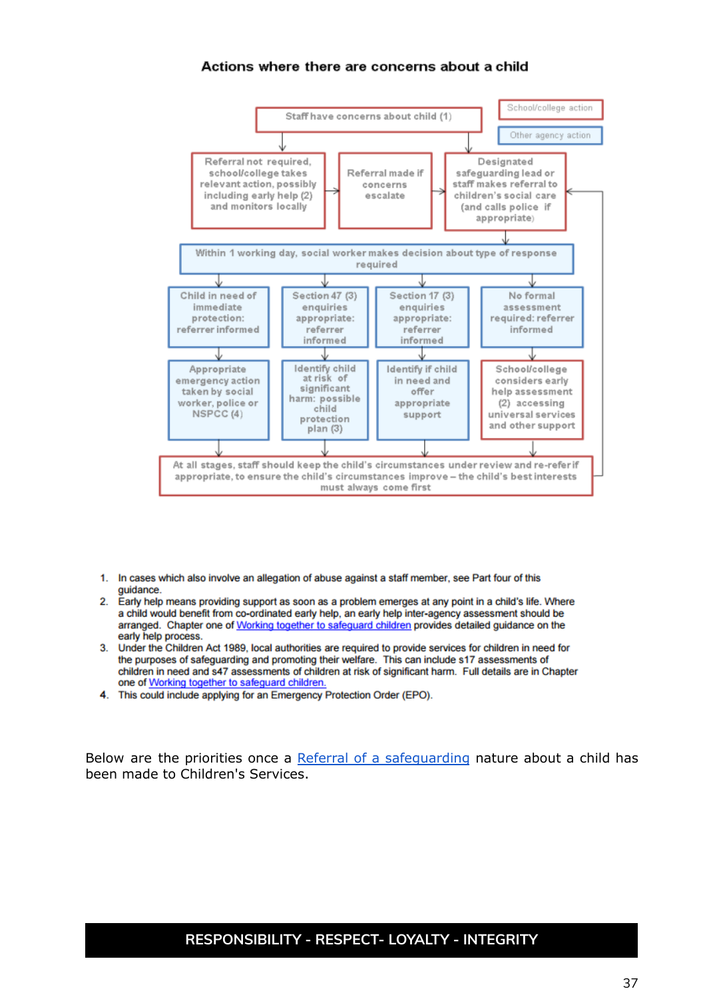#### Actions where there are concerns about a child



- 1. In cases which also involve an allegation of abuse against a staff member, see Part four of this quidance.
- 2. Early help means providing support as soon as a problem emerges at any point in a child's life. Where a child would benefit from co-ordinated early help, an early help inter-agency assessment should be arranged. Chapter one of Working together to safeguard children provides detailed guidance on the early help process.
- 3. Under the Children Act 1989, local authorities are required to provide services for children in need for the purposes of safeguarding and promoting their welfare. This can include s17 assessments of children in need and s47 assessments of children at risk of significant harm. Full details are in Chapter one of Working together to safeguard children.
- 4. This could include applying for an Emergency Protection Order (EPO).

Below are the priorities once a Referral of a [safeguarding](http://berks.proceduresonline.com/windsor_maidenhead/p_referrals.html) nature about a child has been made to Children's Services.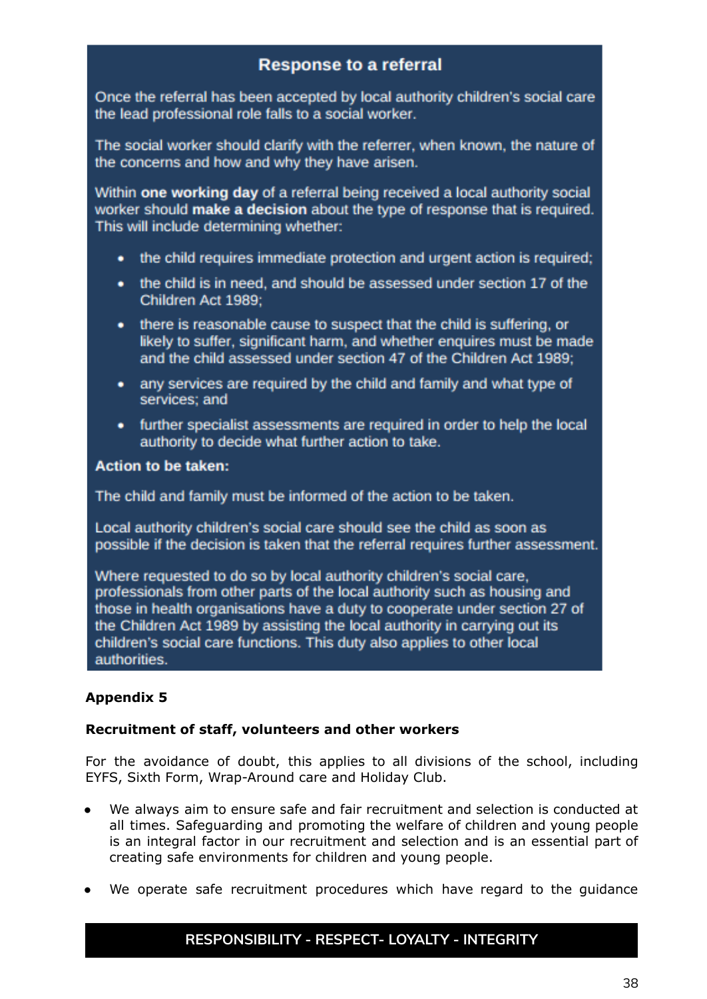## **Response to a referral**

Once the referral has been accepted by local authority children's social care the lead professional role falls to a social worker.

The social worker should clarify with the referrer, when known, the nature of the concerns and how and why they have arisen.

Within one working day of a referral being received a local authority social worker should make a decision about the type of response that is required. This will include determining whether:

- the child requires immediate protection and urgent action is required;
- the child is in need, and should be assessed under section 17 of the Children Act 1989:
- there is reasonable cause to suspect that the child is suffering, or likely to suffer, significant harm, and whether enguires must be made and the child assessed under section 47 of the Children Act 1989:
- any services are required by the child and family and what type of services: and
- further specialist assessments are required in order to help the local authority to decide what further action to take.

#### **Action to be taken:**

The child and family must be informed of the action to be taken.

Local authority children's social care should see the child as soon as possible if the decision is taken that the referral requires further assessment.

Where requested to do so by local authority children's social care. professionals from other parts of the local authority such as housing and those in health organisations have a duty to cooperate under section 27 of the Children Act 1989 by assisting the local authority in carrying out its children's social care functions. This duty also applies to other local authorities.

## <span id="page-37-0"></span>**Appendix 5**

### **Recruitment of staff, volunteers and other workers**

For the avoidance of doubt, this applies to all divisions of the school, including EYFS, Sixth Form, Wrap-Around care and Holiday Club.

- We always aim to ensure safe and fair recruitment and selection is conducted at all times. Safeguarding and promoting the welfare of children and young people is an integral factor in our recruitment and selection and is an essential part of creating safe environments for children and young people.
- We operate safe recruitment procedures which have regard to the guidance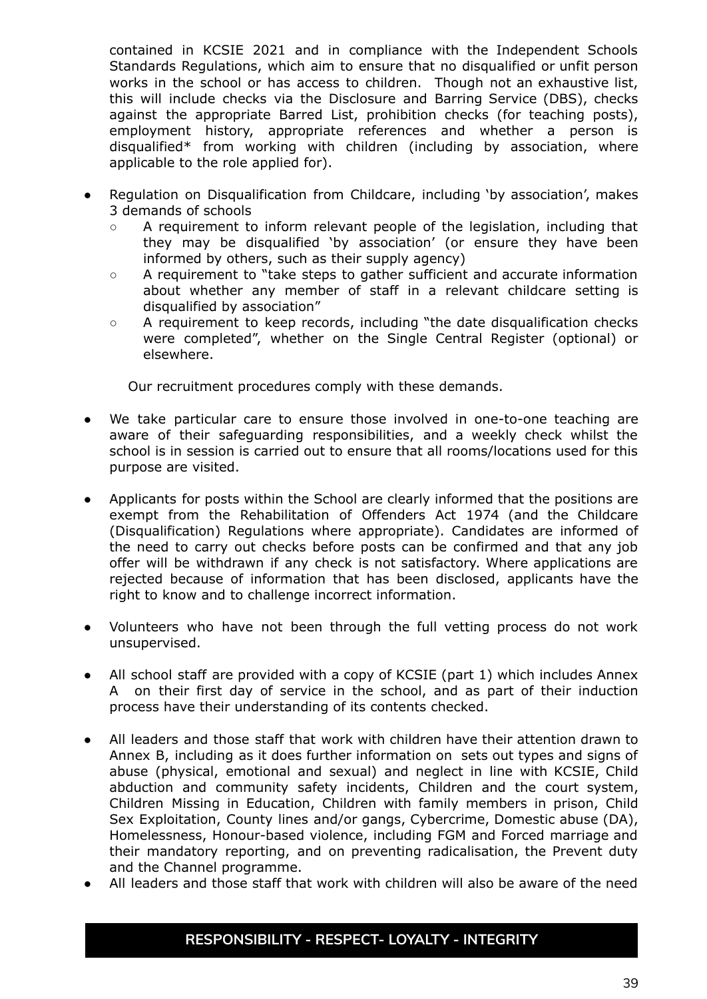contained in KCSIE 2021 and in compliance with the Independent Schools Standards Regulations, which aim to ensure that no disqualified or unfit person works in the school or has access to children. Though not an exhaustive list, this will include checks via the Disclosure and Barring Service (DBS), checks against the appropriate Barred List, prohibition checks (for teaching posts), employment history, appropriate references and whether a person is disqualified\* from working with children (including by association, where applicable to the role applied for).

- Regulation on Disqualification from Childcare, including 'by association', makes 3 demands of schools
	- A requirement to inform relevant people of the legislation, including that they may be disqualified 'by association' (or ensure they have been informed by others, such as their supply agency)
	- A requirement to "take steps to gather sufficient and accurate information about whether any member of staff in a relevant childcare setting is disqualified by association"
	- A requirement to keep records, including "the date disqualification checks were completed", whether on the Single Central Register (optional) or elsewhere.

Our recruitment procedures comply with these demands.

- We take particular care to ensure those involved in one-to-one teaching are aware of their safeguarding responsibilities, and a weekly check whilst the school is in session is carried out to ensure that all rooms/locations used for this purpose are visited.
- Applicants for posts within the School are clearly informed that the positions are exempt from the Rehabilitation of Offenders Act 1974 (and the Childcare (Disqualification) Regulations where appropriate). Candidates are informed of the need to carry out checks before posts can be confirmed and that any job offer will be withdrawn if any check is not satisfactory. Where applications are rejected because of information that has been disclosed, applicants have the right to know and to challenge incorrect information.
- Volunteers who have not been through the full vetting process do not work unsupervised.
- All school staff are provided with a copy of KCSIE (part 1) which includes Annex A on their first day of service in the school, and as part of their induction process have their understanding of its contents checked.
- All leaders and those staff that work with children have their attention drawn to Annex B, including as it does further information on sets out types and signs of abuse (physical, emotional and sexual) and neglect in line with KCSIE, Child abduction and community safety incidents, Children and the court system, Children Missing in Education, Children with family members in prison, Child Sex Exploitation, County lines and/or gangs, Cybercrime, Domestic abuse (DA), Homelessness, Honour-based violence, including FGM and Forced marriage and their mandatory reporting, and on preventing radicalisation, the Prevent duty and the Channel programme.
- All leaders and those staff that work with children will also be aware of the need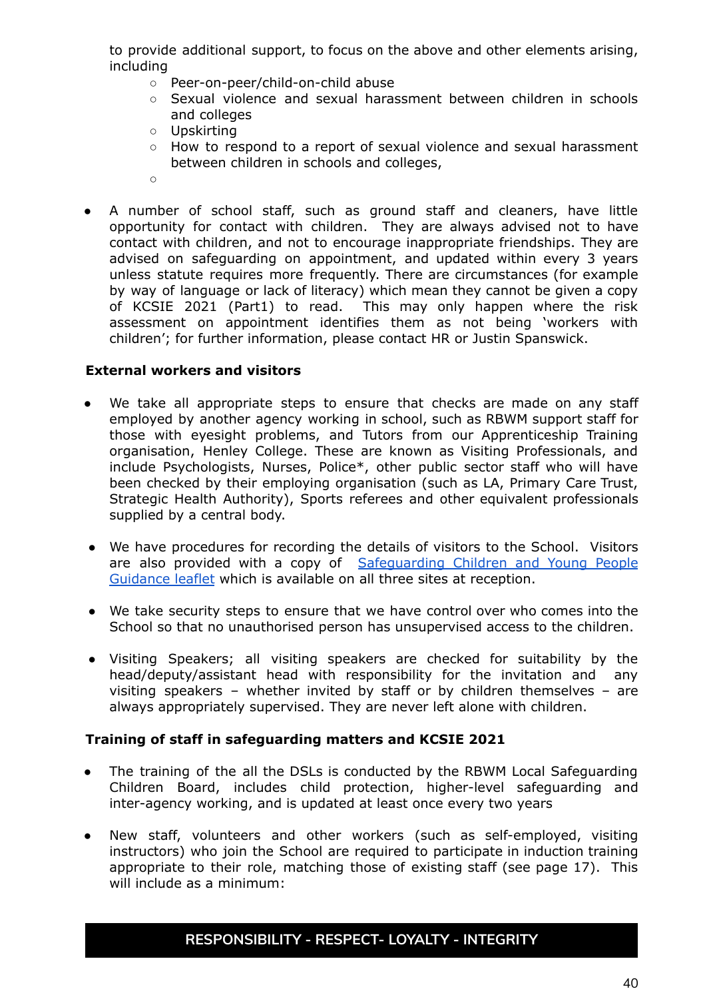to provide additional support, to focus on the above and other elements arising, including

- Peer-on-peer/child-on-child abuse
- Sexual violence and sexual harassment between children in schools and colleges
- Upskirting
- How to respond to a report of sexual violence and sexual harassment between children in schools and colleges,
- $\Omega$
- A number of school staff, such as ground staff and cleaners, have little opportunity for contact with children. They are always advised not to have contact with children, and not to encourage inappropriate friendships. They are advised on safeguarding on appointment, and updated within every 3 years unless statute requires more frequently. There are circumstances (for example by way of language or lack of literacy) which mean they cannot be given a copy of KCSIE 2021 (Part1) to read. This may only happen where the risk assessment on appointment identifies them as not being 'workers with children'; for further information, please contact HR or Justin Spanswick.

### **External workers and visitors**

- We take all appropriate steps to ensure that checks are made on any staff employed by another agency working in school, such as RBWM support staff for those with eyesight problems, and Tutors from our Apprenticeship Training organisation, Henley College. These are known as Visiting Professionals, and include Psychologists, Nurses, Police\*, other public sector staff who will have been checked by their employing organisation (such as LA, Primary Care Trust, Strategic Health Authority), Sports referees and other equivalent professionals supplied by a central body.
- We have procedures for recording the details of visitors to the School. Visitors are also provided with a copy of [Safeguarding](https://docs.google.com/document/d/1TKINJ4DD1kXP9oLzAAwpMGnKcfnFFSW3xZmk8ZoILrY/edit?usp=sharing) Children and Young People [Guidance](https://docs.google.com/document/d/1TKINJ4DD1kXP9oLzAAwpMGnKcfnFFSW3xZmk8ZoILrY/edit?usp=sharing) leaflet which is available on all three sites at reception.
- We take security steps to ensure that we have control over who comes into the School so that no unauthorised person has unsupervised access to the children.
- Visiting Speakers; all visiting speakers are checked for suitability by the head/deputy/assistant head with responsibility for the invitation and any visiting speakers – whether invited by staff or by children themselves – are always appropriately supervised. They are never left alone with children.

### **Training of staff in safeguarding matters and KCSIE 2021**

- The training of the all the DSLs is conducted by the RBWM Local Safeguarding Children Board, includes child protection, higher-level safeguarding and inter-agency working, and is updated at least once every two years
- New staff, volunteers and other workers (such as self-employed, visiting instructors) who join the School are required to participate in induction training appropriate to their role, matching those of existing staff (see page 17). This will include as a minimum: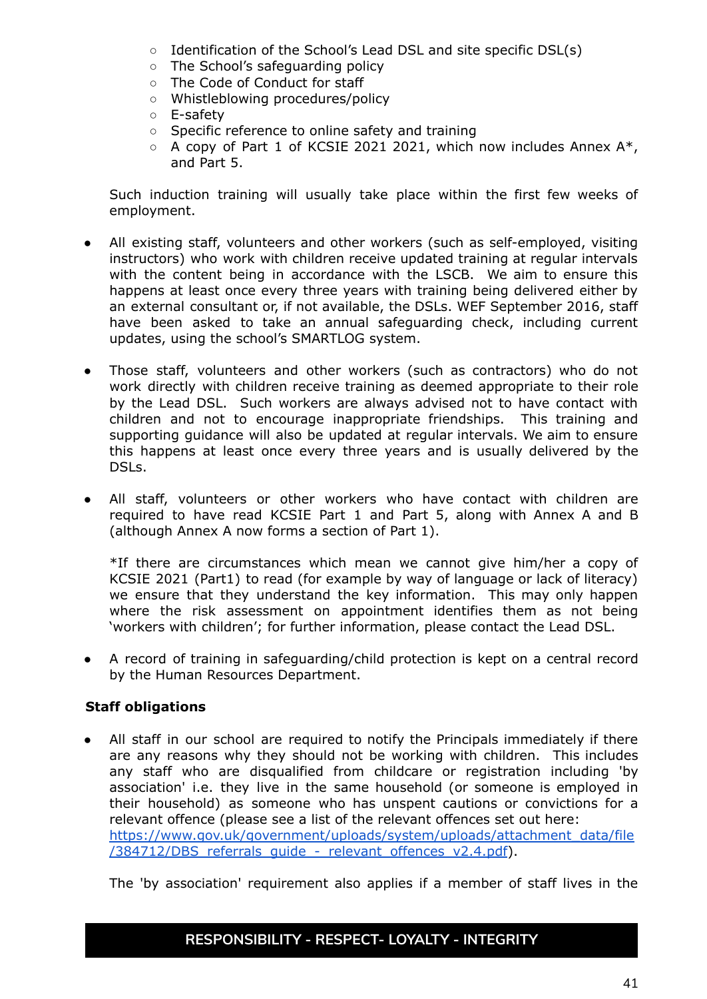- $\circ$  Identification of the School's Lead DSL and site specific DSL(s)
- The School's safeguarding policy
- The Code of Conduct for staff
- Whistleblowing procedures/policy
- E-safety
- Specific reference to online safety and training
- $\circ$  A copy of Part 1 of KCSIE 2021 2021, which now includes Annex A\*, and Part 5.

Such induction training will usually take place within the first few weeks of employment.

- All existing staff, volunteers and other workers (such as self-employed, visiting instructors) who work with children receive updated training at regular intervals with the content being in accordance with the LSCB. We aim to ensure this happens at least once every three years with training being delivered either by an external consultant or, if not available, the DSLs. WEF September 2016, staff have been asked to take an annual safeguarding check, including current updates, using the school's SMARTLOG system.
- Those staff, volunteers and other workers (such as contractors) who do not work directly with children receive training as deemed appropriate to their role by the Lead DSL. Such workers are always advised not to have contact with children and not to encourage inappropriate friendships. This training and supporting guidance will also be updated at regular intervals. We aim to ensure this happens at least once every three years and is usually delivered by the DSL<sub>S</sub>.
- All staff, [volunteers](https://www.gov.uk/government/uploads/system/uploads/attachment_data/file/354151/Keeping_children_safe_in_education_Information_for_staff.pdf) or other workers who have contact with children are [required](https://www.gov.uk/government/uploads/system/uploads/attachment_data/file/354151/Keeping_children_safe_in_education_Information_for_staff.pdf) to have read KCSIE Part 1 and Part 5, along with Annex A and B (although Annex A now forms a section of Part 1).

\*If there are circumstances which mean we cannot give him/her a copy of KCSIE 2021 (Part1) to read (for example by way of language or lack of literacy) we ensure that they understand the key information. This may only happen where the risk assessment on appointment identifies them as not being 'workers with children'; for further information, please contact the Lead DSL.

A record of training in safeguarding/child protection is kept on a central record by the Human Resources Department.

### **Staff obligations**

All staff in our school are required to notify the Principals immediately if there are any reasons why they should not be working with children. This includes any staff who are disqualified from childcare or registration including 'by association' i.e. they live in the same household (or someone is employed in their household) as someone who has unspent cautions or convictions for a relevant offence (please see a list of the relevant offences set out here: [https://www.gov.uk/government/uploads/system/uploads/attachment\\_data/file](https://www.gov.uk/government/uploads/system/uploads/attachment_data/file/384712/DBS_referrals_guide_-_relevant_offences_v2.4.pdf) /384712/DBS referrals quide - relevant offences v2.4.pdf).

The 'by association' requirement also applies if a member of staff lives in the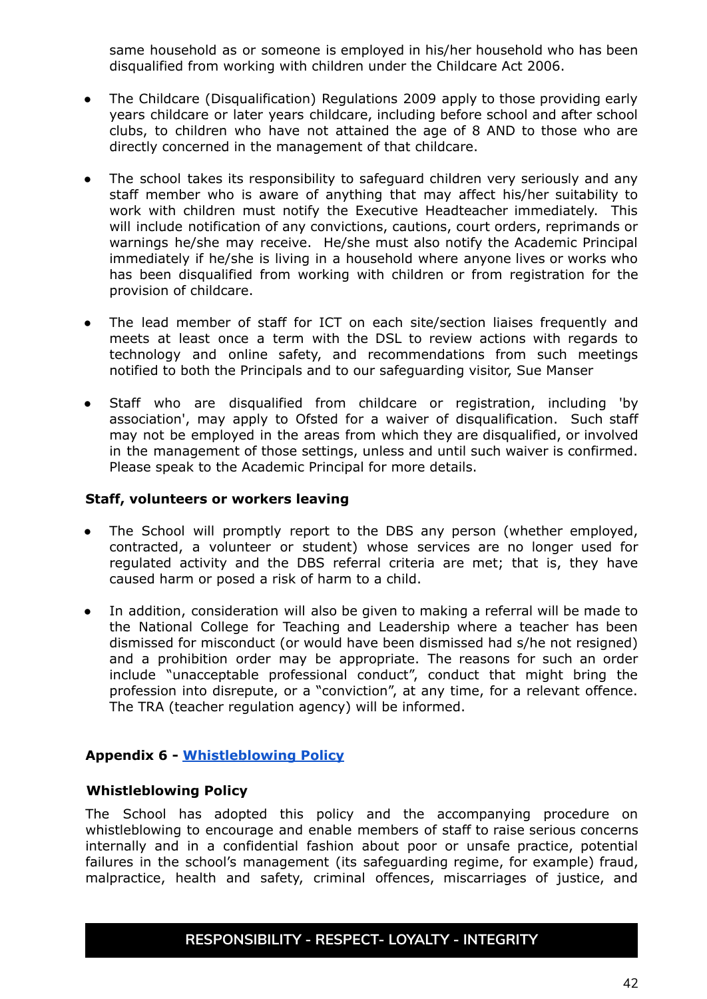same household as or someone is employed in his/her household who has been disqualified from working with children under the Childcare Act 2006.

- The Childcare (Disqualification) Regulations 2009 apply to those providing early years childcare or later years childcare, including before school and after school clubs, to children who have not attained the age of 8 AND to those who are directly concerned in the management of that childcare.
- The school takes its responsibility to safeguard children very seriously and any staff member who is aware of anything that may affect his/her suitability to work with children must notify the Executive Headteacher immediately. This will include notification of any convictions, cautions, court orders, reprimands or warnings he/she may receive. He/she must also notify the Academic Principal immediately if he/she is living in a household where anyone lives or works who has been disqualified from working with children or from registration for the provision of childcare.
- The lead member of staff for ICT on each site/section liaises frequently and meets at least once a term with the DSL to review actions with regards to technology and online safety, and recommendations from such meetings notified to both the Principals and to our safeguarding visitor, Sue Manser
- Staff who are disqualified from childcare or registration, including 'by association', may apply to Ofsted for a waiver of disqualification. Such staff may not be employed in the areas from which they are disqualified, or involved in the management of those settings, unless and until such waiver is confirmed. Please speak to the Academic Principal for more details.

#### **Staff, volunteers or workers leaving**

- The School will promptly report to the DBS any person (whether employed, contracted, a volunteer or student) whose services are no longer used for regulated activity and the DBS referral criteria are met; that is, they have caused harm or posed a risk of harm to a child.
- In addition, consideration will also be given to making a referral will be made to the National College for Teaching and Leadership where a teacher has been dismissed for misconduct (or would have been dismissed had s/he not resigned) and a prohibition order may be appropriate. The reasons for such an order include "unacceptable professional conduct", conduct that might bring the profession into disrepute, or a "conviction", at any time, for a relevant offence. The TRA (teacher regulation agency) will be informed.

### <span id="page-41-0"></span>**Appendix 6 - [Whistleblowing](https://goo.gl/khCWaI) Policy**

### **Whistleblowing Policy**

The School has adopted this policy and the accompanying procedure on whistleblowing to encourage and enable members of staff to raise serious concerns internally and in a confidential fashion about poor or unsafe practice, potential failures in the school's management (its safeguarding regime, for example) fraud, malpractice, health and safety, criminal offences, miscarriages of justice, and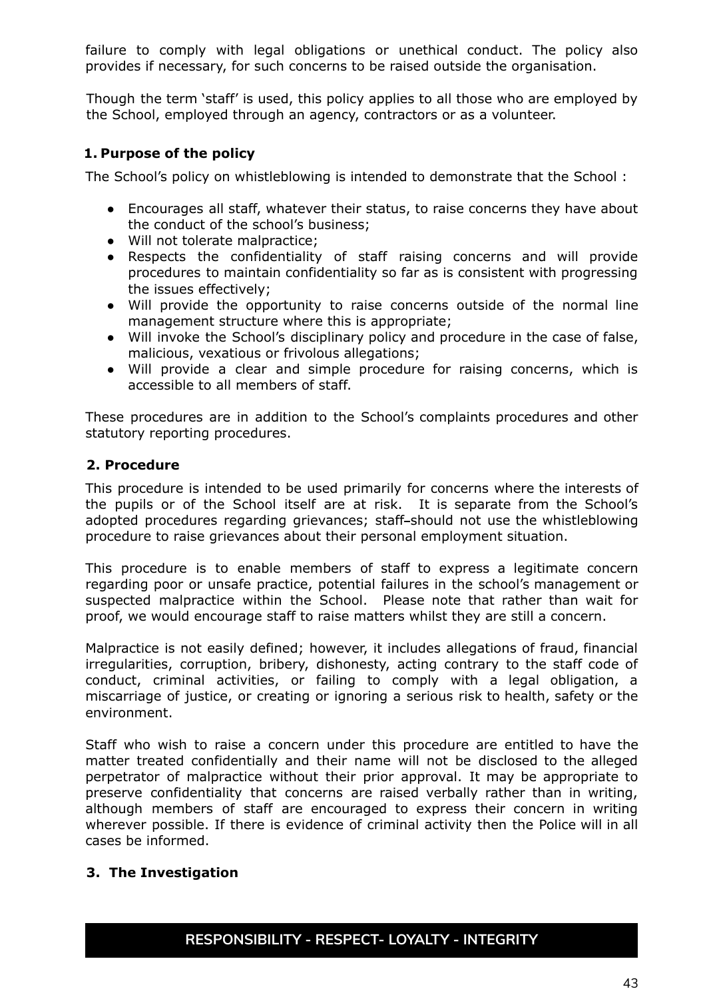failure to comply with legal obligations or unethical conduct. The policy also provides if necessary, for such concerns to be raised outside the organisation.

Though the term 'staff' is used, this policy applies to all those who are employed by the School, employed through an agency, contractors or as a volunteer.

## **1. Purpose of the policy**

The School's policy on whistleblowing is intended to demonstrate that the School :

- Encourages all staff, whatever their status, to raise concerns they have about the conduct of the school's business;
- Will not tolerate malpractice;
- Respects the confidentiality of staff raising concerns and will provide procedures to maintain confidentiality so far as is consistent with progressing the issues effectively;
- Will provide the opportunity to raise concerns outside of the normal line management structure where this is appropriate;
- Will invoke the School's disciplinary policy and procedure in the case of false, malicious, vexatious or frivolous allegations;
- Will provide a clear and simple procedure for raising concerns, which is accessible to all members of staff.

These procedures are in addition to the School's complaints procedures and other statutory reporting procedures.

### **2. Procedure**

This procedure is intended to be used primarily for concerns where the interests of the pupils or of the School itself are at risk. It is separate from the School's adopted procedures regarding grievances; staff-should not use the whistleblowing procedure to raise grievances about their personal employment situation.

This procedure is to enable members of staff to express a legitimate concern regarding poor or unsafe practice, potential failures in the school's management or suspected malpractice within the School. Please note that rather than wait for proof, we would encourage staff to raise matters whilst they are still a concern.

Malpractice is not easily defined; however, it includes allegations of fraud, financial irregularities, corruption, bribery, dishonesty, acting contrary to the staff code of conduct, criminal activities, or failing to comply with a legal obligation, a miscarriage of justice, or creating or ignoring a serious risk to health, safety or the environment.

Staff who wish to raise a concern under this procedure are entitled to have the matter treated confidentially and their name will not be disclosed to the alleged perpetrator of malpractice without their prior approval. It may be appropriate to preserve confidentiality that concerns are raised verbally rather than in writing, although members of staff are encouraged to express their concern in writing wherever possible. If there is evidence of criminal activity then the Police will in all cases be informed.

### **3. The Investigation**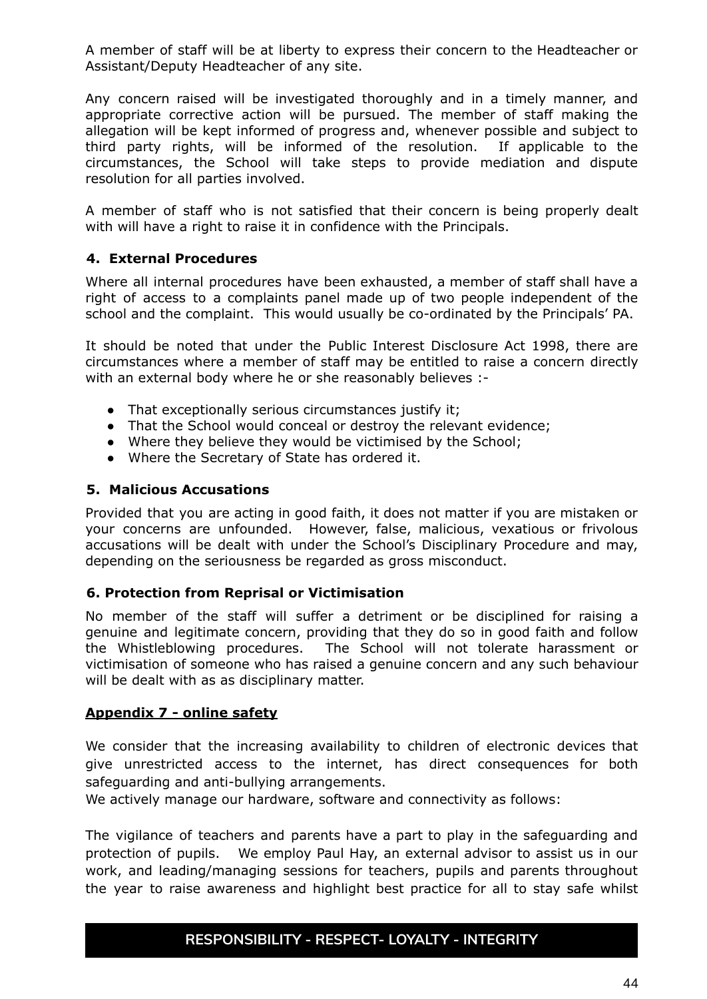A member of staff will be at liberty to express their concern to the Headteacher or Assistant/Deputy Headteacher of any site.

Any concern raised will be investigated thoroughly and in a timely manner, and appropriate corrective action will be pursued. The member of staff making the allegation will be kept informed of progress and, whenever possible and subject to third party rights, will be informed of the resolution. If applicable to the circumstances, the School will take steps to provide mediation and dispute resolution for all parties involved.

A member of staff who is not satisfied that their concern is being properly dealt with will have a right to raise it in confidence with the Principals.

### **4. External Procedures**

Where all internal procedures have been exhausted, a member of staff shall have a right of access to a complaints panel made up of two people independent of the school and the complaint. This would usually be co-ordinated by the Principals' PA.

It should be noted that under the Public Interest Disclosure Act 1998, there are circumstances where a member of staff may be entitled to raise a concern directly with an external body where he or she reasonably believes :-

- That exceptionally serious circumstances justify it;
- That the School would conceal or destroy the relevant evidence;
- Where they believe they would be victimised by the School;
- Where the Secretary of State has ordered it.

### **5. Malicious Accusations**

Provided that you are acting in good faith, it does not matter if you are mistaken or your concerns are unfounded. However, false, malicious, vexatious or frivolous accusations will be dealt with under the School's Disciplinary Procedure and may, depending on the seriousness be regarded as gross misconduct.

### **6. Protection from Reprisal or Victimisation**

No member of the staff will suffer a detriment or be disciplined for raising a genuine and legitimate concern, providing that they do so in good faith and follow the Whistleblowing procedures. The School will not tolerate harassment or victimisation of someone who has raised a genuine concern and any such behaviour will be dealt with as as disciplinary matter.

### **Appendix 7 - online safety**

We consider that the increasing availability to children of electronic devices that give unrestricted access to the internet, has direct consequences for both safeguarding and anti-bullying arrangements.

We actively manage our hardware, software and connectivity as follows:

The vigilance of teachers and parents have a part to play in the safeguarding and protection of pupils. We employ Paul Hay, an external advisor to assist us in our work, and leading/managing sessions for teachers, pupils and parents throughout the year to raise awareness and highlight best practice for all to stay safe whilst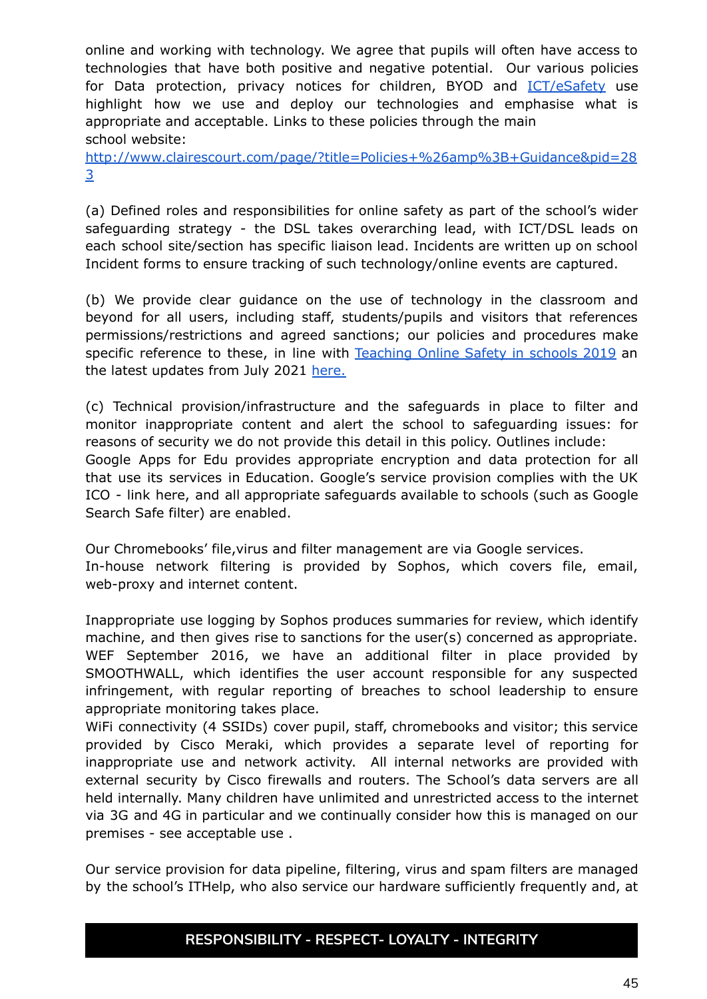online and working with technology. We agree that pupils will often have access to technologies that have both positive and negative potential. Our various policies for Data protection, privacy notices for children, BYOD and [ICT/eSafety](https://docs.google.com/document/d/1ZBtxtpTQs5grFdW-lbScvvVY-uKDCKQs9KzF0vBGn4c/edit) use highlight how we use and deploy our technologies and emphasise what is appropriate and acceptable. Links to these policies through the main school website:

[http://www.clairescourt.com/page/?title=Policies+%26amp%3B+Guidance&pid=28](http://www.clairescourt.com/page/?title=Policies+%26amp%3B+Guidance&pid=283) [3](http://www.clairescourt.com/page/?title=Policies+%26amp%3B+Guidance&pid=283)

(a) Defined roles and responsibilities for online safety as part of the school's wider safeguarding strategy - the DSL takes overarching lead, with ICT/DSL leads on each school site/section has specific liaison lead. Incidents are written up on school Incident forms to ensure tracking of such technology/online events are captured.

(b) We provide clear guidance on the use of technology in the classroom and beyond for all users, including staff, students/pupils and visitors that references permissions/restrictions and agreed sanctions; our policies and procedures make specific reference to these, in line with [Teaching](https://www.gov.uk/government/publications/teaching-online-safety-in-schools) Online Safety in schools 2019 an the latest updates from July 2021 [here.](https://learning.nspcc.org.uk/research-resources/schools/e-safety-for-schools)

(c) Technical provision/infrastructure and the safeguards in place to filter and monitor inappropriate content and alert the school to safeguarding issues: for reasons of security we do not provide this detail in this policy. Outlines include: Google Apps for Edu provides appropriate encryption and data protection for all that use its services in Education. Google's service provision complies with the UK ICO - link here, and all appropriate safeguards available to schools (such as Google Search Safe filter) are enabled.

Our Chromebooks' file,virus and filter management are via Google services. In-house network filtering is provided by Sophos, which covers file, email, web-proxy and internet content.

Inappropriate use logging by Sophos produces summaries for review, which identify machine, and then gives rise to sanctions for the user(s) concerned as appropriate. WEF September 2016, we have an additional filter in place provided by SMOOTHWALL, which identifies the user account responsible for any suspected infringement, with regular reporting of breaches to school leadership to ensure appropriate monitoring takes place.

WiFi connectivity (4 SSIDs) cover pupil, staff, chromebooks and visitor; this service provided by Cisco Meraki, which provides a separate level of reporting for inappropriate use and network activity. All internal networks are provided with external security by Cisco firewalls and routers. The School's data servers are all held internally. Many children have unlimited and unrestricted access to the internet via 3G and 4G in particular and we continually consider how this is managed on our premises - see acceptable use .

Our service provision for data pipeline, filtering, virus and spam filters are managed by the school's ITHelp, who also service our hardware sufficiently frequently and, at